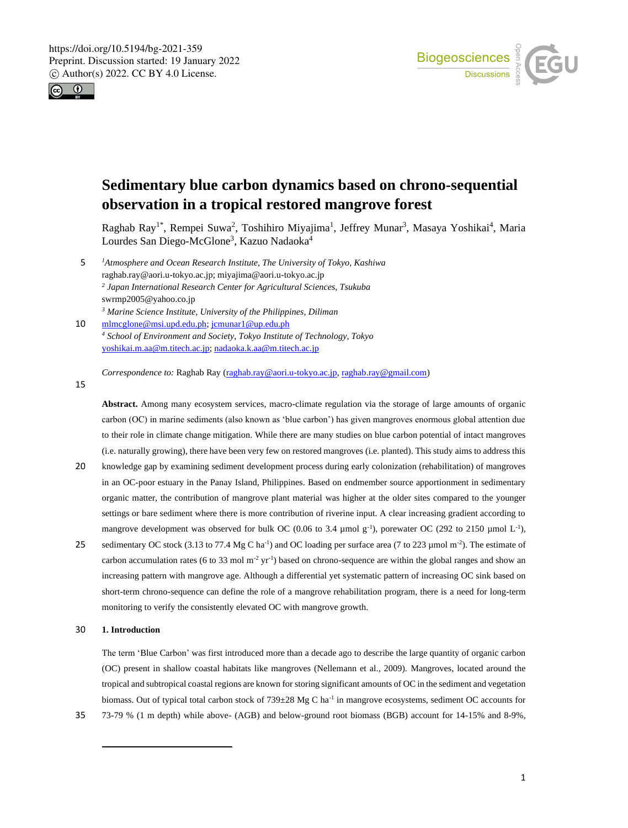



# **Sedimentary blue carbon dynamics based on chrono-sequential observation in a tropical restored mangrove forest**

Raghab Ray<sup>1\*</sup>, Rempei Suwa<sup>2</sup>, Toshihiro Miyajima<sup>1</sup>, Jeffrey Munar<sup>3</sup>, Masaya Yoshikai<sup>4</sup>, Maria Lourdes San Diego-McGlone<sup>3</sup>, Kazuo Nadaoka<sup>4</sup>

- *<sup>1</sup>* 5 *Atmosphere and Ocean Research Institute, The University of Tokyo, Kashiwa* raghab.ray@aori.u-tokyo.ac.jp; miyajima@aori.u-tokyo.ac.jp *<sup>2</sup> Japan International Research Center for Agricultural Sciences, Tsukuba* swrmp2005@yahoo.co.jp *<sup>3</sup> Marine Science Institute, University of the Philippines, Diliman*
- 10 mlmcglone@msi.upd.edu.ph; jcmunar1@up.edu.ph *<sup>4</sup> School of Environment and Society, Tokyo Institute of Technology, Tokyo* yoshikai.m.aa@m.titech.ac.jp; nadaoka.k.aa@m.titech.ac.jp

*Correspondence to:* Raghab Ray (raghab.ray@aori.u-tokyo.ac.jp, raghab.ray@gmail.com)

15

**Abstract.** Among many ecosystem services, macro-climate regulation via the storage of large amounts of organic carbon (OC) in marine sediments (also known as 'blue carbon') has given mangroves enormous global attention due to their role in climate change mitigation. While there are many studies on blue carbon potential of intact mangroves (i.e. naturally growing), there have been very few on restored mangroves (i.e. planted). This study aims to address this

- 20 knowledge gap by examining sediment development process during early colonization (rehabilitation) of mangroves in an OC-poor estuary in the Panay Island, Philippines. Based on endmember source apportionment in sedimentary organic matter, the contribution of mangrove plant material was higher at the older sites compared to the younger settings or bare sediment where there is more contribution of riverine input. A clear increasing gradient according to mangrove development was observed for bulk OC (0.06 to 3.4 µmol g<sup>-1</sup>), porewater OC (292 to 2150 µmol L<sup>-1</sup>),
- 25 sedimentary OC stock (3.13 to 77.4 Mg C ha<sup>-1</sup>) and OC loading per surface area (7 to 223  $\mu$ mol m<sup>-2</sup>). The estimate of carbon accumulation rates (6 to 33 mol  $m<sup>2</sup>$  yr<sup>1</sup>) based on chrono-sequence are within the global ranges and show an increasing pattern with mangrove age. Although a differential yet systematic pattern of increasing OC sink based on short-term chrono-sequence can define the role of a mangrove rehabilitation program, there is a need for long-term monitoring to verify the consistently elevated OC with mangrove growth.

# 30 **1. Introduction**

The term 'Blue Carbon' was first introduced more than a decade ago to describe the large quantity of organic carbon (OC) present in shallow coastal habitats like mangroves (Nellemann et al., 2009). Mangroves, located around the tropical and subtropical coastal regions are known for storing significant amounts of OC in the sediment and vegetation biomass. Out of typical total carbon stock of 739±28 Mg C ha<sup>-1</sup> in mangrove ecosystems, sediment OC accounts for 35 73-79 % (1 m depth) while above- (AGB) and below-ground root biomass (BGB) account for 14-15% and 8-9%,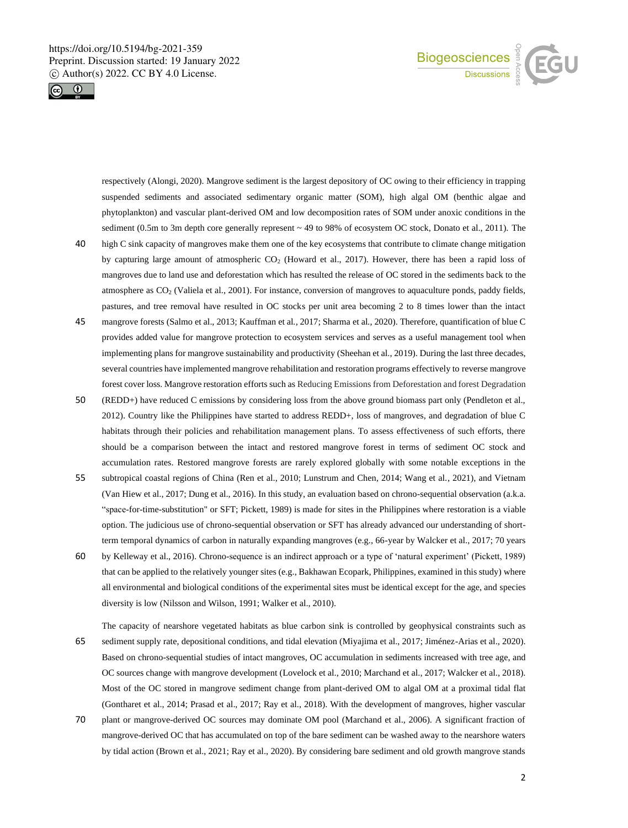



respectively (Alongi, 2020). Mangrove sediment is the largest depository of OC owing to their efficiency in trapping suspended sediments and associated sedimentary organic matter (SOM), high algal OM (benthic algae and phytoplankton) and vascular plant-derived OM and low decomposition rates of SOM under anoxic conditions in the sediment (0.5m to 3m depth core generally represent  $\sim$  49 to 98% of ecosystem OC stock, Donato et al., 2011). The

- 40 high C sink capacity of mangroves make them one of the key ecosystems that contribute to climate change mitigation by capturing large amount of atmospheric CO<sub>2</sub> (Howard et al., 2017). However, there has been a rapid loss of mangroves due to land use and deforestation which has resulted the release of OC stored in the sediments back to the atmosphere as CO<sup>2</sup> (Valiela et al., 2001). For instance, conversion of mangroves to aquaculture ponds, paddy fields, pastures, and tree removal have resulted in OC stocks per unit area becoming 2 to 8 times lower than the intact
- 45 mangrove forests (Salmo et al., 2013; Kauffman et al*.*, 2017; Sharma et al*.*, 2020). Therefore, quantification of blue C provides added value for mangrove protection to ecosystem services and serves as a useful management tool when implementing plans for mangrove sustainability and productivity (Sheehan et al., 2019). During the last three decades, several countries have implemented mangrove rehabilitation and restoration programs effectively to reverse mangrove forest cover loss. Mangrove restoration efforts such as Reducing Emissions from Deforestation and forest Degradation
- 50 (REDD+) have reduced C emissions by considering loss from the above ground biomass part only (Pendleton et al., 2012). Country like the Philippines have started to address REDD+, loss of mangroves, and degradation of blue C habitats through their policies and rehabilitation management plans. To assess effectiveness of such efforts, there should be a comparison between the intact and restored mangrove forest in terms of sediment OC stock and accumulation rates. Restored mangrove forests are rarely explored globally with some notable exceptions in the
- 55 subtropical coastal regions of China (Ren et al., 2010; Lunstrum and Chen, 2014; Wang et al., 2021), and Vietnam (Van Hiew et al., 2017; Dung et al., 2016). In this study, an evaluation based on chrono-sequential observation (a.k.a. "space-for-time-substitution" or SFT; Pickett, 1989) is made for sites in the Philippines where restoration is a viable option. The judicious use of chrono-sequential observation or SFT has already advanced our understanding of shortterm temporal dynamics of carbon in naturally expanding mangroves (e.g., 66-year by Walcker et al., 2017; 70 years
- 60 by Kelleway et al., 2016). Chrono-sequence is an indirect approach or a type of 'natural experiment' (Pickett, 1989) that can be applied to the relatively younger sites (e.g., Bakhawan Ecopark, Philippines, examined in this study) where all environmental and biological conditions of the experimental sites must be identical except for the age, and species diversity is low (Nilsson and Wilson, 1991; Walker et al., 2010).

The capacity of nearshore vegetated habitats as blue carbon sink is controlled by geophysical constraints such as 65 sediment supply rate, depositional conditions, and tidal elevation (Miyajima et al., 2017; Jiménez-Arias et al., 2020). Based on chrono-sequential studies of intact mangroves, OC accumulation in sediments increased with tree age, and OC sources change with mangrove development (Lovelock et al., 2010; Marchand et al., 2017; Walcker et al., 2018). Most of the OC stored in mangrove sediment change from plant-derived OM to algal OM at a proximal tidal flat (Gontharet et al., 2014; Prasad et al., 2017; Ray et al., 2018). With the development of mangroves, higher vascular

70 plant or mangrove-derived OC sources may dominate OM pool (Marchand et al., 2006). A significant fraction of mangrove-derived OC that has accumulated on top of the bare sediment can be washed away to the nearshore waters by tidal action (Brown et al., 2021; Ray et al., 2020). By considering bare sediment and old growth mangrove stands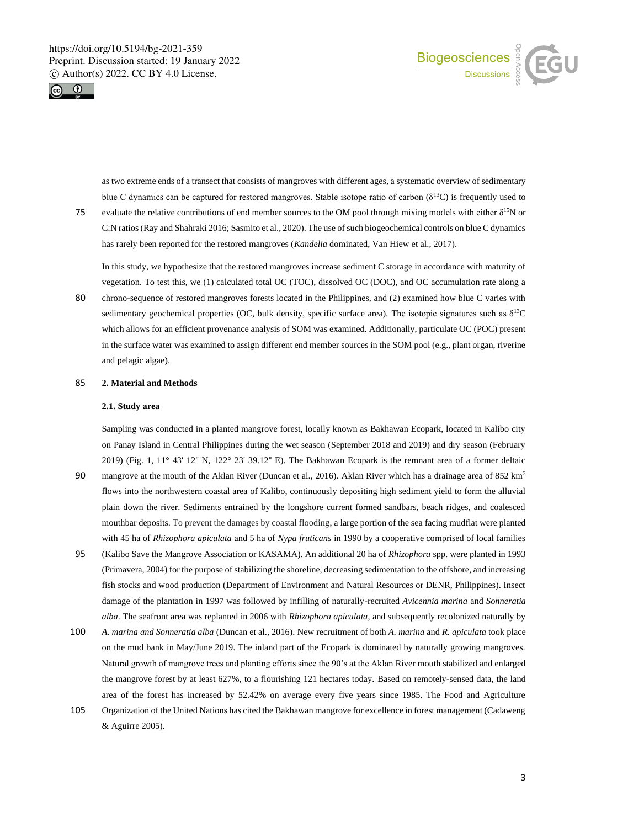



as two extreme ends of a transect that consists of mangroves with different ages, a systematic overview of sedimentary blue C dynamics can be captured for restored mangroves. Stable isotope ratio of carbon ( $\delta^{13}$ C) is frequently used to

75 evaluate the relative contributions of end member sources to the OM pool through mixing models with either  $\delta^{15}N$  or C:N ratios (Ray and Shahraki 2016; Sasmito et al., 2020). The use of such biogeochemical controls on blue C dynamics has rarely been reported for the restored mangroves (*Kandelia* dominated, Van Hiew et al., 2017).

In this study, we hypothesize that the restored mangroves increase sediment C storage in accordance with maturity of vegetation. To test this, we (1) calculated total OC (TOC), dissolved OC (DOC), and OC accumulation rate along a

80 chrono-sequence of restored mangroves forests located in the Philippines, and (2) examined how blue C varies with sedimentary geochemical properties (OC, bulk density, specific surface area). The isotopic signatures such as  $\delta^{13}$ C which allows for an efficient provenance analysis of SOM was examined. Additionally, particulate OC (POC) present in the surface water was examined to assign different end member sources in the SOM pool (e.g., plant organ, riverine and pelagic algae).

# 85 **2. Material and Methods**

## **2.1. Study area**

Sampling was conducted in a planted mangrove forest, locally known as Bakhawan Ecopark, located in Kalibo city on Panay Island in Central Philippines during the wet season (September 2018 and 2019) and dry season (February 2019) (Fig. 1, 11° 43' 12'' N, 122° 23' 39.12'' E). The Bakhawan Ecopark is the remnant area of a former deltaic

- 90 mangrove at the mouth of the Aklan River (Duncan et al., 2016). Aklan River which has a drainage area of 852 km<sup>2</sup> flows into the northwestern coastal area of Kalibo, continuously depositing high sediment yield to form the alluvial plain down the river. Sediments entrained by the longshore current formed sandbars, beach ridges, and coalesced mouthbar deposits. To prevent the damages by coastal flooding, a large portion of the sea facing mudflat were planted with 45 ha of *Rhizophora apiculata* and 5 ha of *Nypa fruticans* in 1990 by a cooperative comprised of local families
- 95 (Kalibo Save the Mangrove Association or KASAMA). An additional 20 ha of *Rhizophora* spp. were planted in 1993 (Primavera, 2004) for the purpose of stabilizing the shoreline, decreasing sedimentation to the offshore, and increasing fish stocks and wood production (Department of Environment and Natural Resources or DENR, Philippines). Insect damage of the plantation in 1997 was followed by infilling of naturally-recruited *Avicennia marina* and *Sonneratia alba*. The seafront area was replanted in 2006 with *Rhizophora apiculata*, and subsequently recolonized naturally by
- 100 *A. marina and Sonneratia alba* (Duncan et al., 2016). New recruitment of both *A. marina* and *R. apiculata* took place on the mud bank in May/June 2019. The inland part of the Ecopark is dominated by naturally growing mangroves. Natural growth of mangrove trees and planting efforts since the 90's at the Aklan River mouth stabilized and enlarged the mangrove forest by at least 627%, to a flourishing 121 hectares today. Based on remotely-sensed data, the land area of the forest has increased by 52.42% on average every five years since 1985. The Food and Agriculture
- 105 Organization of the United Nations has cited the Bakhawan mangrove for excellence in forest management (Cadaweng & Aguirre 2005).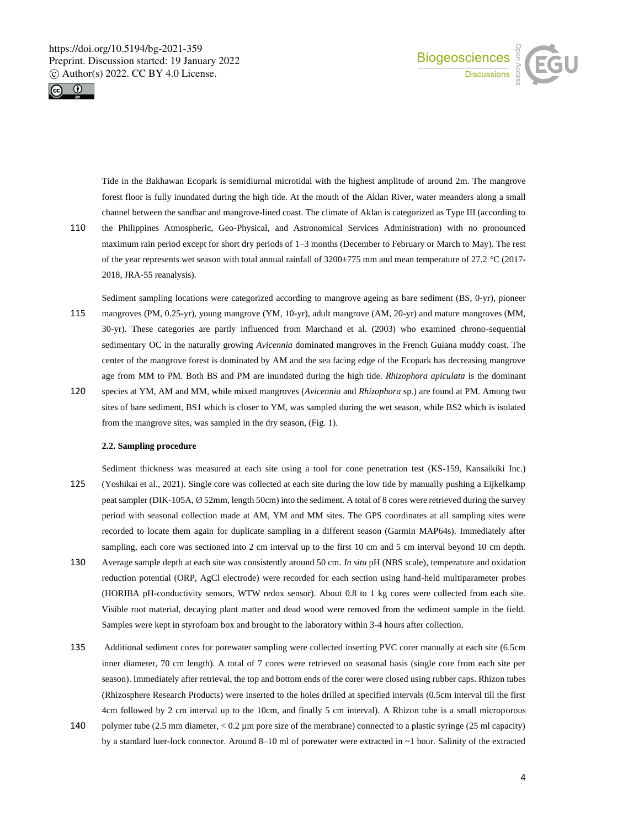



Tide in the Bakhawan Ecopark is semidiurnal microtidal with the highest amplitude of around 2m. The mangrove forest floor is fully inundated during the high tide. At the mouth of the Aklan River, water meanders along a small channel between the sandbar and mangrove-lined coast. The climate of Aklan is categorized as Type III (according to

110 the Philippines Atmospheric, Geo-Physical, and Astronomical Services Administration) with no pronounced maximum rain period except for short dry periods of 1–3 months (December to February or March to May). The rest of the year represents wet season with total annual rainfall of  $3200\pm775$  mm and mean temperature of 27.2 °C (2017-2018, JRA-55 reanalysis).

Sediment sampling locations were categorized according to mangrove ageing as bare sediment (BS, 0-yr), pioneer 115 mangroves (PM, 0.25-yr), young mangrove (YM, 10-yr), adult mangrove (AM, 20-yr) and mature mangroves (MM, 30-yr). These categories are partly influenced from Marchand et al. (2003) who examined chrono-sequential sedimentary OC in the naturally growing *Avicennia* dominated mangroves in the French Guiana muddy coast. The center of the mangrove forest is dominated by AM and the sea facing edge of the Ecopark has decreasing mangrove age from MM to PM. Both BS and PM are inundated during the high tide. *Rhizophora apiculata* is the dominant 120 species at YM, AM and MM, while mixed mangroves (*Avicennia* and *Rhizophora* sp*.*) are found at PM. Among two

sites of bare sediment, BS1 which is closer to YM, was sampled during the wet season, while BS2 which is isolated from the mangrove sites, was sampled in the dry season, (Fig. 1).

#### **2.2. Sampling procedure**

- Sediment thickness was measured at each site using a tool for cone penetration test (KS-159, Kansaikiki Inc.) 125 (Yoshikai et al., 2021). Single core was collected at each site during the low tide by manually pushing a Eijkelkamp peat sampler (DIK-105A, Ø 52mm, length 50cm) into the sediment. A total of 8 cores were retrieved during the survey period with seasonal collection made at AM, YM and MM sites. The GPS coordinates at all sampling sites were recorded to locate them again for duplicate sampling in a different season (Garmin MAP64s). Immediately after sampling, each core was sectioned into 2 cm interval up to the first 10 cm and 5 cm interval beyond 10 cm depth.
- 130 Average sample depth at each site was consistently around 50 cm. *In situ* pH (NBS scale), temperature and oxidation reduction potential (ORP, AgCl electrode) were recorded for each section using hand-held multiparameter probes (HORIBA pH-conductivity sensors, WTW redox sensor). About 0.8 to 1 kg cores were collected from each site. Visible root material, decaying plant matter and dead wood were removed from the sediment sample in the field. Samples were kept in styrofoam box and brought to the laboratory within 3-4 hours after collection.
- 135 Additional sediment cores for porewater sampling were collected inserting PVC corer manually at each site (6.5cm inner diameter, 70 cm length). A total of 7 cores were retrieved on seasonal basis (single core from each site per season). Immediately after retrieval, the top and bottom ends of the corer were closed using rubber caps. Rhizon tubes (Rhizosphere Research Products) were inserted to the holes drilled at specified intervals (0.5cm interval till the first 4cm followed by 2 cm interval up to the 10cm, and finally 5 cm interval). A Rhizon tube is a small microporous
- 140 polymer tube (2.5 mm diameter, < 0.2 µm pore size of the membrane) connected to a plastic syringe (25 ml capacity) by a standard luer-lock connector. Around 8–10 ml of porewater were extracted in ~1 hour. Salinity of the extracted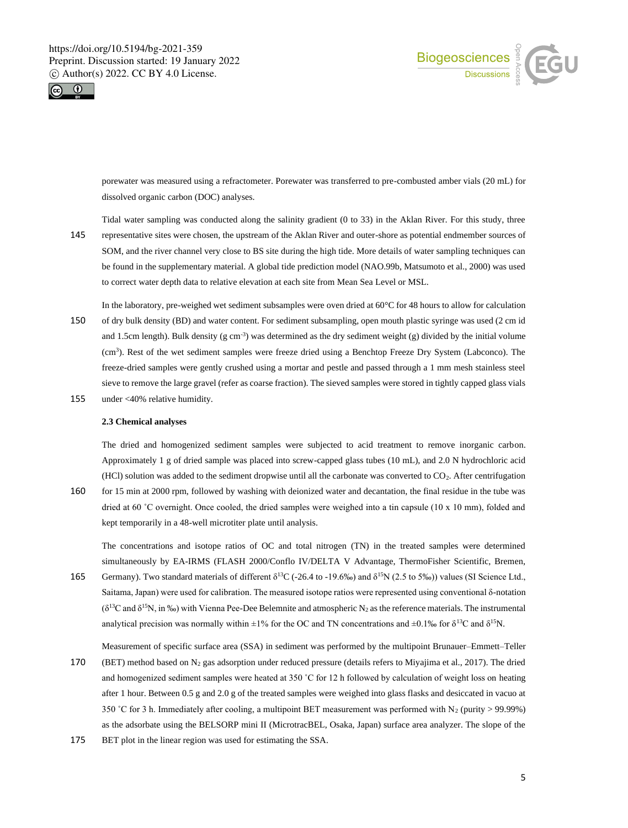



porewater was measured using a refractometer. Porewater was transferred to pre-combusted amber vials (20 mL) for dissolved organic carbon (DOC) analyses.

Tidal water sampling was conducted along the salinity gradient (0 to 33) in the Aklan River. For this study, three 145 representative sites were chosen, the upstream of the Aklan River and outer-shore as potential endmember sources of SOM, and the river channel very close to BS site during the high tide. More details of water sampling techniques can be found in the supplementary material. A global tide prediction model (NAO.99b, Matsumoto et al., 2000) was used to correct water depth data to relative elevation at each site from Mean Sea Level or MSL.

In the laboratory, pre-weighed wet sediment subsamples were oven dried at 60°C for 48 hours to allow for calculation 150 of dry bulk density (BD) and water content. For sediment subsampling, open mouth plastic syringe was used (2 cm id and 1.5cm length). Bulk density  $(g \text{ cm}^{-3})$  was determined as the dry sediment weight  $(g)$  divided by the initial volume (cm<sup>3</sup> ). Rest of the wet sediment samples were freeze dried using a Benchtop Freeze Dry System (Labconco). The freeze-dried samples were gently crushed using a mortar and pestle and passed through a 1 mm mesh stainless steel sieve to remove the large gravel (refer as coarse fraction). The sieved samples were stored in tightly capped glass vials

155 under <40% relative humidity.

#### **2.3 Chemical analyses**

The dried and homogenized sediment samples were subjected to acid treatment to remove inorganic carbon. Approximately 1 g of dried sample was placed into screw-capped glass tubes (10 mL), and 2.0 N hydrochloric acid (HCl) solution was added to the sediment dropwise until all the carbonate was converted to CO2. After centrifugation

160 for 15 min at 2000 rpm, followed by washing with deionized water and decantation, the final residue in the tube was dried at 60 °C overnight. Once cooled, the dried samples were weighed into a tin capsule (10 x 10 mm), folded and kept temporarily in a 48-well microtiter plate until analysis.

The concentrations and isotope ratios of OC and total nitrogen (TN) in the treated samples were determined simultaneously by EA-IRMS (FLASH 2000/Conflo IV/DELTA V Advantage, ThermoFisher Scientific, Bremen, 165 Germany). Two standard materials of different  $\delta^{13}C$  (-26.4 to -19.6‰) and  $\delta^{15}N$  (2.5 to 5‰)) values (SI Science Ltd.,

Saitama, Japan) were used for calibration. The measured isotope ratios were represented using conventional δ-notation ( $\delta^{13}$ C and  $\delta^{15}$ N, in ‰) with Vienna Pee-Dee Belemnite and atmospheric N<sub>2</sub> as the reference materials. The instrumental analytical precision was normally within  $\pm 1\%$  for the OC and TN concentrations and  $\pm 0.1\%$  for  $\delta^{13}$ C and  $\delta^{15}$ N.

Measurement of specific surface area (SSA) in sediment was performed by the multipoint Brunauer–Emmett–Teller 170 (BET) method based on  $N_2$  gas adsorption under reduced pressure (details refers to Miyajima et al., 2017). The dried and homogenized sediment samples were heated at 350 °C for 12 h followed by calculation of weight loss on heating after 1 hour. Between 0.5 g and 2.0 g of the treated samples were weighed into glass flasks and desiccated in vacuo at 350 °C for 3 h. Immediately after cooling, a multipoint BET measurement was performed with  $N_2$  (purity > 99.99%) as the adsorbate using the BELSORP mini II (MicrotracBEL, Osaka, Japan) surface area analyzer. The slope of the

175 BET plot in the linear region was used for estimating the SSA.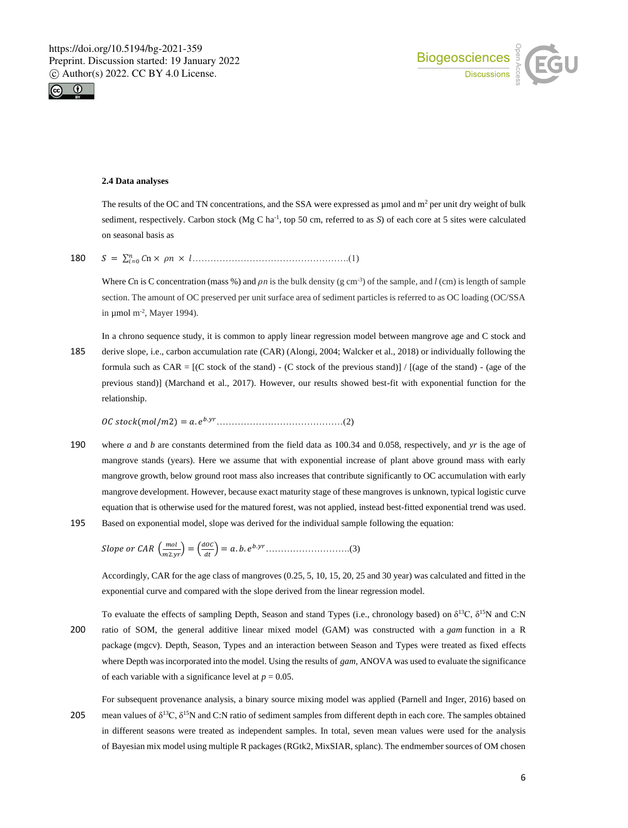



#### **2.4 Data analyses**

The results of the OC and TN concentrations, and the SSA were expressed as  $\mu$ mol and m<sup>2</sup> per unit dry weight of bulk sediment, respectively. Carbon stock (Mg C ha<sup>-1</sup>, top 50 cm, referred to as  $S$ ) of each core at 5 sites were calculated on seasonal basis as

= ∑ n × × 180 =0 …………………………………………….(1)

Where Cn is C concentration (mass %) and  $\rho n$  is the bulk density (g cm<sup>-3</sup>) of the sample, and  $l$  (cm) is length of sample section. The amount of OC preserved per unit surface area of sediment particles is referred to as OC loading (OC/SSA in  $\mu$ mol m<sup>-2</sup>, Mayer 1994).

In a chrono sequence study, it is common to apply linear regression model between mangrove age and C stock and 185 derive slope, i.e., carbon accumulation rate (CAR) (Alongi, 2004; Walcker et al., 2018) or individually following the formula such as  $CAR = [(C stock of the stand) - (C stock of the previous stand)] / [(age of the stand) - (age of the$ previous stand)] (Marchand et al., 2017). However, our results showed best-fit with exponential function for the relationship.

(/2) = . .……………………………………(2)

- 190 where *a* and *b* are constants determined from the field data as 100.34 and 0.058, respectively, and *yr* is the age of mangrove stands (years). Here we assume that with exponential increase of plant above ground mass with early mangrove growth, below ground root mass also increases that contribute significantly to OC accumulation with early mangrove development. However, because exact maturity stage of these mangroves is unknown, typical logistic curve equation that is otherwise used for the matured forest, was not applied, instead best-fitted exponential trend was used.
- 195 Based on exponential model, slope was derived for the individual sample following the equation:

( 2.) <sup>=</sup> ( ) <sup>=</sup> . . .……………………….(3)

Accordingly, CAR for the age class of mangroves (0.25, 5, 10, 15, 20, 25 and 30 year) was calculated and fitted in the exponential curve and compared with the slope derived from the linear regression model.

To evaluate the effects of sampling Depth, Season and stand Types (i.e., chronology based) on δ<sup>13</sup>C, δ<sup>15</sup>N and C:N 200 ratio of SOM, the general additive linear mixed model (GAM) was constructed with a *gam* function in a R package (mgcv). Depth, Season, Types and an interaction between Season and Types were treated as fixed effects where Depth was incorporated into the model. Using the results of *gam*, ANOVA was used to evaluate the significance of each variable with a significance level at  $p = 0.05$ .

For subsequent provenance analysis, a binary source mixing model was applied (Parnell and Inger, 2016) based on 205 mean values of  $\delta^{13}C$ ,  $\delta^{15}N$  and C:N ratio of sediment samples from different depth in each core. The samples obtained in different seasons were treated as independent samples. In total, seven mean values were used for the analysis of Bayesian mix model using multiple R packages (RGtk2, MixSIAR, splanc). The endmember sources of OM chosen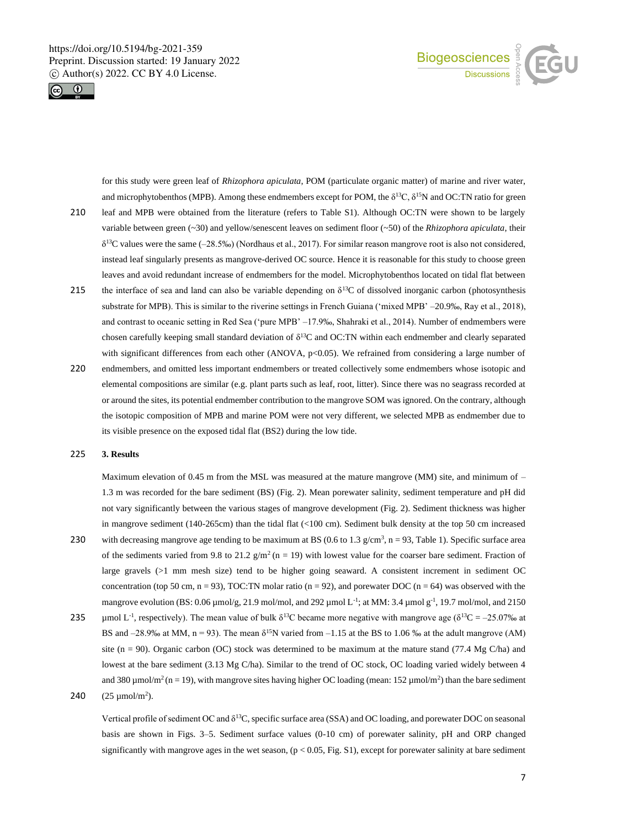



for this study were green leaf of *Rhizophora apiculata*, POM (particulate organic matter) of marine and river water, and microphytobenthos (MPB). Among these endmembers except for POM, the  $\delta^{13}C$ ,  $\delta^{15}N$  and OC:TN ratio for green

- 210 leaf and MPB were obtained from the literature (refers to Table S1). Although OC:TN were shown to be largely variable between green (~30) and yellow/senescent leaves on sediment floor (~50) of the *Rhizophora apiculata*, their δ <sup>13</sup>C values were the same (–28.5‰) (Nordhaus et al., 2017). For similar reason mangrove root is also not considered, instead leaf singularly presents as mangrove-derived OC source. Hence it is reasonable for this study to choose green leaves and avoid redundant increase of endmembers for the model. Microphytobenthos located on tidal flat between
- 215 the interface of sea and land can also be variable depending on  $\delta^{13}$ C of dissolved inorganic carbon (photosynthesis substrate for MPB). This is similar to the riverine settings in French Guiana ('mixed MPB' –20.9‰, Ray et al., 2018), and contrast to oceanic setting in Red Sea ('pure MPB' –17.9‰, Shahraki et al., 2014). Number of endmembers were chosen carefully keeping small standard deviation of  $\delta^{13}C$  and OC:TN within each endmember and clearly separated with significant differences from each other (ANOVA,  $p<0.05$ ). We refrained from considering a large number of
- 220 endmembers, and omitted less important endmembers or treated collectively some endmembers whose isotopic and elemental compositions are similar (e.g. plant parts such as leaf, root, litter). Since there was no seagrass recorded at or around the sites, its potential endmember contribution to the mangrove SOM was ignored. On the contrary, although the isotopic composition of MPB and marine POM were not very different, we selected MPB as endmember due to its visible presence on the exposed tidal flat (BS2) during the low tide.

## 225 **3. Results**

Maximum elevation of 0.45 m from the MSL was measured at the mature mangrove (MM) site, and minimum of – 1.3 m was recorded for the bare sediment (BS) (Fig. 2). Mean porewater salinity, sediment temperature and pH did not vary significantly between the various stages of mangrove development (Fig. 2). Sediment thickness was higher in mangrove sediment (140-265cm) than the tidal flat (<100 cm). Sediment bulk density at the top 50 cm increased

- 230 with decreasing mangrove age tending to be maximum at BS (0.6 to 1.3 g/cm<sup>3</sup>, n = 93, Table 1). Specific surface area of the sediments varied from 9.8 to 21.2  $g/m^2$  (n = 19) with lowest value for the coarser bare sediment. Fraction of large gravels (>1 mm mesh size) tend to be higher going seaward. A consistent increment in sediment OC concentration (top 50 cm,  $n = 93$ ), TOC:TN molar ratio ( $n = 92$ ), and porewater DOC ( $n = 64$ ) was observed with the mangrove evolution (BS:  $0.06 \mu$ mol/g,  $21.9 \text{ mol/mol}$ , and  $292 \mu$ mol L<sup>-1</sup>; at MM:  $3.4 \mu$ mol g<sup>-1</sup>, 19.7 mol/mol, and 2150
- 235 µmol L<sup>-1</sup>, respectively). The mean value of bulk  $\delta^{13}C$  became more negative with mangrove age ( $\delta^{13}C = -25.07\%$ ) at BS and –28.9‰ at MM,  $n = 93$ ). The mean  $\delta^{15}N$  varied from –1.15 at the BS to 1.06 ‰ at the adult mangrove (AM) site (n = 90). Organic carbon (OC) stock was determined to be maximum at the mature stand (77.4 Mg C/ha) and lowest at the bare sediment (3.13 Mg C/ha). Similar to the trend of OC stock, OC loading varied widely between 4 and 380  $\mu$ mol/m<sup>2</sup> (n = 19), with mangrove sites having higher OC loading (mean: 152  $\mu$ mol/m<sup>2</sup>) than the bare sediment 240  $(25 \text{ µmol/m}^2)$ .
	- Vertical profile of sediment OC and δ<sup>13</sup>C, specific surface area (SSA) and OC loading, and porewater DOC on seasonal basis are shown in Figs. 3–5. Sediment surface values (0-10 cm) of porewater salinity, pH and ORP changed significantly with mangrove ages in the wet season,  $(p < 0.05, Fig. S1)$ , except for porewater salinity at bare sediment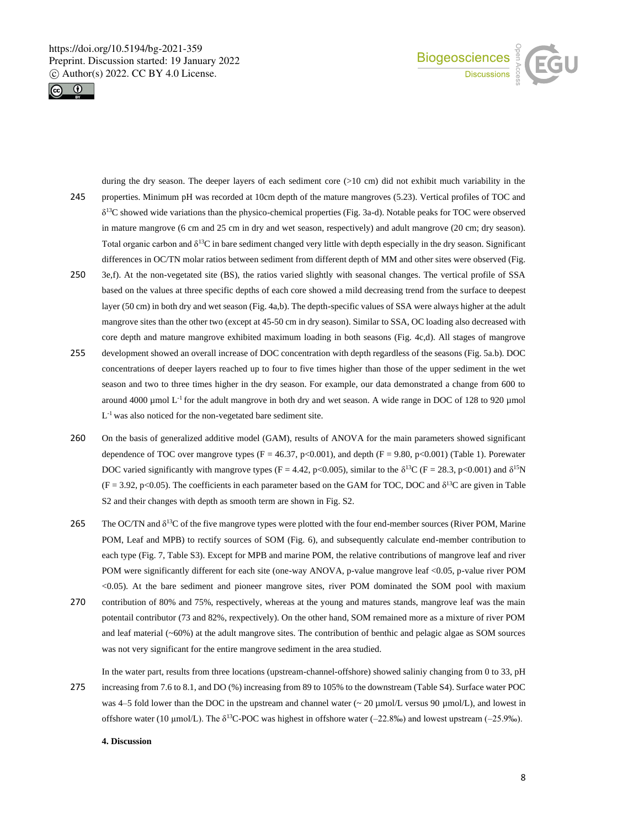



during the dry season. The deeper layers of each sediment core (>10 cm) did not exhibit much variability in the 245 properties. Minimum pH was recorded at 10cm depth of the mature mangroves (5.23). Vertical profiles of TOC and δ <sup>13</sup>C showed wide variations than the physico-chemical properties (Fig. 3a-d). Notable peaks for TOC were observed in mature mangrove (6 cm and 25 cm in dry and wet season, respectively) and adult mangrove (20 cm; dry season). Total organic carbon and  $\delta^{13}C$  in bare sediment changed very little with depth especially in the dry season. Significant differences in OC/TN molar ratios between sediment from different depth of MM and other sites were observed (Fig.

- 250 3e,f). At the non-vegetated site (BS), the ratios varied slightly with seasonal changes. The vertical profile of SSA based on the values at three specific depths of each core showed a mild decreasing trend from the surface to deepest layer (50 cm) in both dry and wet season (Fig. 4a,b). The depth-specific values of SSA were always higher at the adult mangrove sites than the other two (except at 45-50 cm in dry season). Similar to SSA, OC loading also decreased with core depth and mature mangrove exhibited maximum loading in both seasons (Fig. 4c,d). All stages of mangrove
- 255 development showed an overall increase of DOC concentration with depth regardless of the seasons (Fig. 5a.b). DOC concentrations of deeper layers reached up to four to five times higher than those of the upper sediment in the wet season and two to three times higher in the dry season. For example, our data demonstrated a change from 600 to around 4000 µmol  $L^{-1}$  for the adult mangrove in both dry and wet season. A wide range in DOC of 128 to 920 µmol L -1 was also noticed for the non-vegetated bare sediment site.
- 260 On the basis of generalized additive model (GAM), results of ANOVA for the main parameters showed significant dependence of TOC over mangrove types  $(F = 46.37, p<0.001)$ , and depth  $(F = 9.80, p<0.001)$  (Table 1). Porewater DOC varied significantly with mangrove types ( $F = 4.42$ , p<0.005), similar to the  $\delta^{13}C$  ( $F = 28.3$ , p<0.001) and  $\delta^{15}N$  $(F = 3.92, p < 0.05)$ . The coefficients in each parameter based on the GAM for TOC, DOC and  $\delta^{13}C$  are given in Table S2 and their changes with depth as smooth term are shown in Fig. S2.
- 265 The OC/TN and  $\delta^{13}$ C of the five mangrove types were plotted with the four end-member sources (River POM, Marine POM, Leaf and MPB) to rectify sources of SOM (Fig. 6), and subsequently calculate end-member contribution to each type (Fig. 7, Table S3). Except for MPB and marine POM, the relative contributions of mangrove leaf and river POM were significantly different for each site (one-way ANOVA, p-value mangrove leaf <0.05, p-value river POM <0.05). At the bare sediment and pioneer mangrove sites, river POM dominated the SOM pool with maxium
- 270 contribution of 80% and 75%, respectively, whereas at the young and matures stands, mangrove leaf was the main potentail contributor (73 and 82%, rexpectively). On the other hand, SOM remained more as a mixture of river POM and leaf material (~60%) at the adult mangrove sites. The contribution of benthic and pelagic algae as SOM sources was not very significant for the entire mangrove sediment in the area studied.
- In the water part, results from three locations (upstream-channel-offshore) showed saliniy changing from 0 to 33, pH 275 increasing from 7.6 to 8.1, and DO (%) increasing from 89 to 105% to the downstream (Table S4). Surface water POC was 4–5 fold lower than the DOC in the upstream and channel water ( $\sim 20 \mu$  mol/L versus 90  $\mu$ mol/L), and lowest in offshore water (10 µmol/L). The  $\delta^{13}$ C-POC was highest in offshore water (–22.8‰) and lowest upstream (–25.9‰).

## **4. Discussion**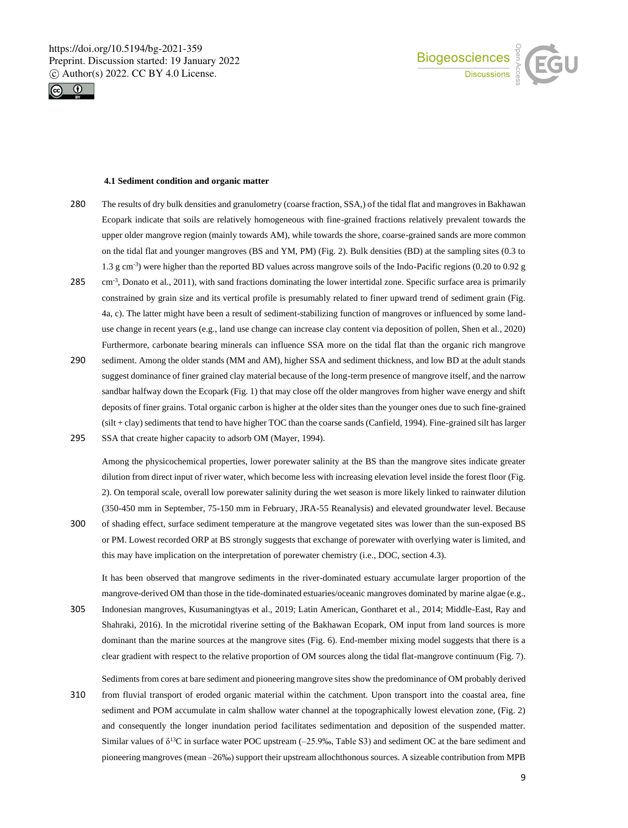



#### **4.1 Sediment condition and organic matter**

- 280 The results of dry bulk densities and granulometry (coarse fraction, SSA,) of the tidal flat and mangroves in Bakhawan Ecopark indicate that soils are relatively homogeneous with fine-grained fractions relatively prevalent towards the upper older mangrove region (mainly towards AM), while towards the shore, coarse-grained sands are more common on the tidal flat and younger mangroves (BS and YM, PM) (Fig. 2). Bulk densities (BD) at the sampling sites (0.3 to 1.3 g cm-3 ) were higher than the reported BD values across mangrove soils of the Indo-Pacific regions (0.20 to 0.92 g
- 285 cm<sup>-3</sup>, Donato et al., 2011), with sand fractions dominating the lower intertidal zone. Specific surface area is primarily constrained by grain size and its vertical profile is presumably related to finer upward trend of sediment grain (Fig. 4a, c). The latter might have been a result of sediment-stabilizing function of mangroves or influenced by some landuse change in recent years (e.g., land use change can increase clay content via deposition of pollen, Shen et al., 2020) Furthermore, carbonate bearing minerals can influence SSA more on the tidal flat than the organic rich mangrove
- 290 sediment. Among the older stands (MM and AM), higher SSA and sediment thickness, and low BD at the adult stands suggest dominance of finer grained clay material because of the long-term presence of mangrove itself, and the narrow sandbar halfway down the Ecopark (Fig. 1) that may close off the older mangroves from higher wave energy and shift deposits of finer grains. Total organic carbon is higher at the older sites than the younger ones due to such fine-grained (silt + clay) sediments that tend to have higher TOC than the coarse sands (Canfield, 1994). Fine-grained silt has larger 295 SSA that create higher capacity to adsorb OM (Mayer, 1994).

Among the physicochemical properties, lower porewater salinity at the BS than the mangrove sites indicate greater dilution from direct input of river water, which become less with increasing elevation level inside the forest floor (Fig. 2). On temporal scale, overall low porewater salinity during the wet season is more likely linked to rainwater dilution (350-450 mm in September, 75-150 mm in February, JRA-55 Reanalysis) and elevated groundwater level. Because 300 of shading effect, surface sediment temperature at the mangrove vegetated sites was lower than the sun-exposed BS

or PM. Lowest recorded ORP at BS strongly suggests that exchange of porewater with overlying water is limited, and this may have implication on the interpretation of porewater chemistry (i.e., DOC, section 4.3).

It has been observed that mangrove sediments in the river-dominated estuary accumulate larger proportion of the mangrove-derived OM than those in the tide-dominated estuaries/oceanic mangroves dominated by marine algae (e.g.,

- 305 Indonesian mangroves, Kusumaningtyas et al., 2019; Latin American, Gontharet et al., 2014; Middle-East, Ray and Shahraki, 2016). In the microtidal riverine setting of the Bakhawan Ecopark, OM input from land sources is more dominant than the marine sources at the mangrove sites (Fig. 6). End-member mixing model suggests that there is a clear gradient with respect to the relative proportion of OM sources along the tidal flat-mangrove continuum (Fig. 7).
- Sediments from cores at bare sediment and pioneering mangrove sites show the predominance of OM probably derived 310 from fluvial transport of eroded organic material within the catchment. Upon transport into the coastal area, fine sediment and POM accumulate in calm shallow water channel at the topographically lowest elevation zone, (Fig. 2) and consequently the longer inundation period facilitates sedimentation and deposition of the suspended matter. Similar values of  $\delta^{13}$ C in surface water POC upstream (-25.9‰, Table S3) and sediment OC at the bare sediment and pioneering mangroves (mean –26‰) support their upstream allochthonous sources. A sizeable contribution from MPB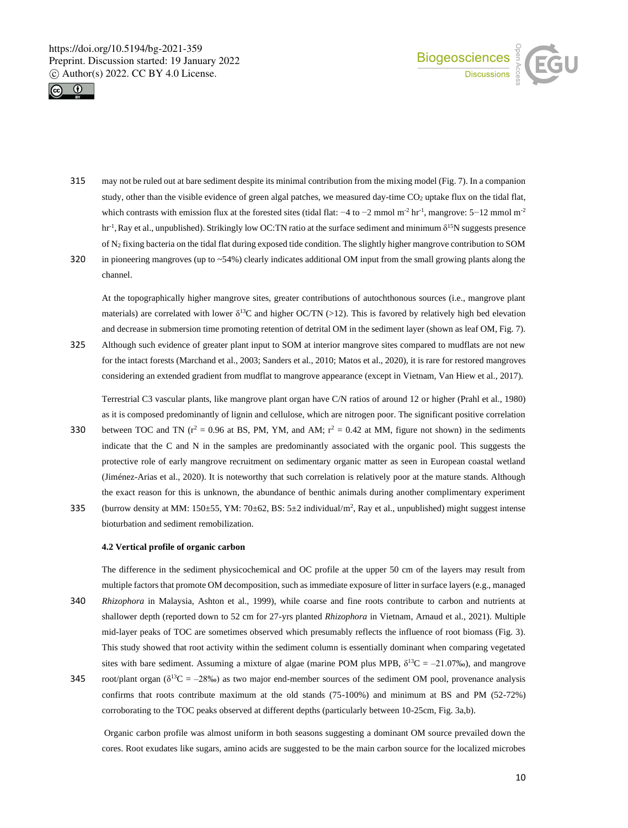



- 315 may not be ruled out at bare sediment despite its minimal contribution from the mixing model (Fig. 7). In a companion study, other than the visible evidence of green algal patches, we measured day-time CO<sub>2</sub> uptake flux on the tidal flat, which contrasts with emission flux at the forested sites (tidal flat:  $-4$  to  $-2$  mmol m<sup>-2</sup> hr<sup>-1</sup>, mangrove: 5–12 mmol m<sup>-2</sup> hr<sup>-1</sup>, Ray et al., unpublished). Strikingly low OC:TN ratio at the surface sediment and minimum  $\delta^{15}N$  suggests presence of N<sup>2</sup> fixing bacteria on the tidal flat during exposed tide condition. The slightly higher mangrove contribution to SOM
- 320 in pioneering mangroves (up to ~54%) clearly indicates additional OM input from the small growing plants along the channel.

At the topographically higher mangrove sites, greater contributions of autochthonous sources (i.e., mangrove plant materials) are correlated with lower  $\delta^{13}C$  and higher OC/TN (>12). This is favored by relatively high bed elevation and decrease in submersion time promoting retention of detrital OM in the sediment layer (shown as leaf OM, Fig. 7).

325 Although such evidence of greater plant input to SOM at interior mangrove sites compared to mudflats are not new for the intact forests (Marchand et al., 2003; Sanders et al., 2010; Matos et al., 2020), it is rare for restored mangroves considering an extended gradient from mudflat to mangrove appearance (except in Vietnam, Van Hiew et al., 2017).

Terrestrial C3 vascular plants, like mangrove plant organ have C/N ratios of around 12 or higher (Prahl et al., 1980) as it is composed predominantly of lignin and cellulose, which are nitrogen poor. The significant positive correlation

- 330 between TOC and TN ( $r^2 = 0.96$  at BS, PM, YM, and AM;  $r^2 = 0.42$  at MM, figure not shown) in the sediments indicate that the C and N in the samples are predominantly associated with the organic pool. This suggests the protective role of early mangrove recruitment on sedimentary organic matter as seen in European coastal wetland (Jiménez-Arias et al., 2020). It is noteworthy that such correlation is relatively poor at the mature stands. Although the exact reason for this is unknown, the abundance of benthic animals during another complimentary experiment
- 335 (burrow density at MM: 150±55, YM: 70±62, BS: 5±2 individual/m<sup>2</sup>, Ray et al., unpublished) might suggest intense bioturbation and sediment remobilization.

# **4.2 Vertical profile of organic carbon**

The difference in the sediment physicochemical and OC profile at the upper 50 cm of the layers may result from multiple factors that promote OM decomposition, such as immediate exposure of litter in surface layers (e.g., managed 340 *Rhizophora* in Malaysia, Ashton et al., 1999), while coarse and fine roots contribute to carbon and nutrients at shallower depth (reported down to 52 cm for 27-yrs planted *Rhizophora* in Vietnam, Arnaud et al., 2021). Multiple mid-layer peaks of TOC are sometimes observed which presumably reflects the influence of root biomass (Fig. 3). This study showed that root activity within the sediment column is essentially dominant when comparing vegetated sites with bare sediment. Assuming a mixture of algae (marine POM plus MPB,  $\delta^{13}C = -21.07\%$ ), and mangrove

345 root/plant organ ( $\delta^{13}C = -28\%$ ) as two major end-member sources of the sediment OM pool, provenance analysis confirms that roots contribute maximum at the old stands (75-100%) and minimum at BS and PM (52-72%) corroborating to the TOC peaks observed at different depths (particularly between 10-25cm, Fig. 3a,b).

Organic carbon profile was almost uniform in both seasons suggesting a dominant OM source prevailed down the cores. Root exudates like sugars, amino acids are suggested to be the main carbon source for the localized microbes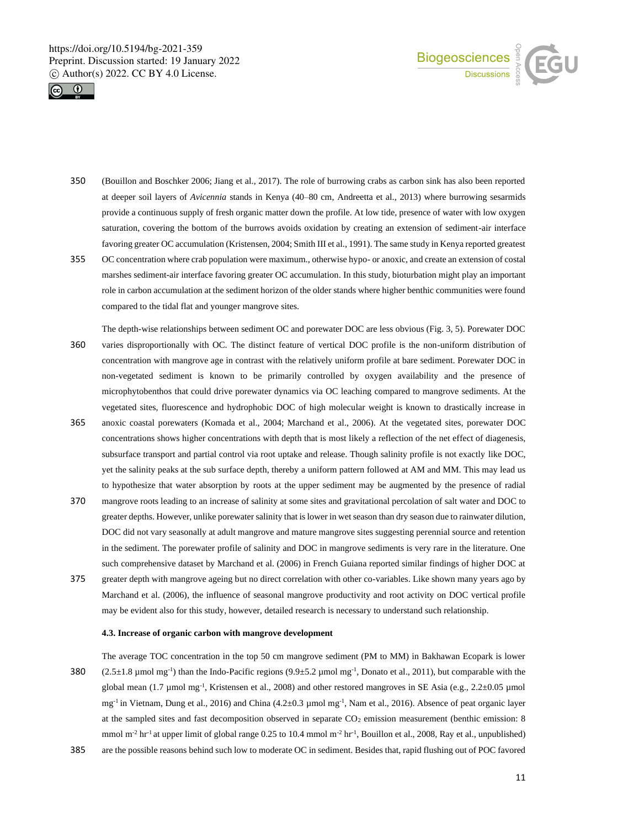



- 350 (Bouillon and Boschker 2006; Jiang et al., 2017). The role of burrowing crabs as carbon sink has also been reported at deeper soil layers of *Avicennia* stands in Kenya (40–80 cm, Andreetta et al., 2013) where burrowing sesarmids provide a continuous supply of fresh organic matter down the profile. At low tide, presence of water with low oxygen saturation, covering the bottom of the burrows avoids oxidation by creating an extension of sediment-air interface favoring greater OC accumulation (Kristensen, 2004; Smith III et al., 1991). The same study in Kenya reported greatest
- 355 OC concentration where crab population were maximum., otherwise hypo- or anoxic, and create an extension of costal marshes sediment-air interface favoring greater OC accumulation. In this study, bioturbation might play an important role in carbon accumulation at the sediment horizon of the older stands where higher benthic communities were found compared to the tidal flat and younger mangrove sites.
- The depth-wise relationships between sediment OC and porewater DOC are less obvious (Fig. 3, 5). Porewater DOC 360 varies disproportionally with OC. The distinct feature of vertical DOC profile is the non-uniform distribution of concentration with mangrove age in contrast with the relatively uniform profile at bare sediment. Porewater DOC in non-vegetated sediment is known to be primarily controlled by oxygen availability and the presence of microphytobenthos that could drive porewater dynamics via OC leaching compared to mangrove sediments. At the vegetated sites, fluorescence and hydrophobic DOC of high molecular weight is known to drastically increase in
- 365 anoxic coastal porewaters (Komada et al., 2004; Marchand et al., 2006). At the vegetated sites, porewater DOC concentrations shows higher concentrations with depth that is most likely a reflection of the net effect of diagenesis, subsurface transport and partial control via root uptake and release. Though salinity profile is not exactly like DOC, yet the salinity peaks at the sub surface depth, thereby a uniform pattern followed at AM and MM. This may lead us to hypothesize that water absorption by roots at the upper sediment may be augmented by the presence of radial
- 370 mangrove roots leading to an increase of salinity at some sites and gravitational percolation of salt water and DOC to greater depths. However, unlike porewater salinity that is lower in wet season than dry season due to rainwater dilution, DOC did not vary seasonally at adult mangrove and mature mangrove sites suggesting perennial source and retention in the sediment. The porewater profile of salinity and DOC in mangrove sediments is very rare in the literature. One such comprehensive dataset by Marchand et al. (2006) in French Guiana reported similar findings of higher DOC at
- 375 greater depth with mangrove ageing but no direct correlation with other co-variables. Like shown many years ago by Marchand et al. (2006), the influence of seasonal mangrove productivity and root activity on DOC vertical profile may be evident also for this study, however, detailed research is necessary to understand such relationship.

## **4.3. Increase of organic carbon with mangrove development**

- The average TOC concentration in the top 50 cm mangrove sediment (PM to MM) in Bakhawan Ecopark is lower 380  $(2.5\pm1.8 \,\mu\text{mol}\,\text{mg}^{-1})$  than the Indo-Pacific regions  $(9.9\pm5.2 \,\mu\text{mol}\,\text{mg}^{-1})$ . Donato et al., 2011), but comparable with the global mean (1.7 µmol mg<sup>-1</sup>, Kristensen et al., 2008) and other restored mangroves in SE Asia (e.g., 2.2±0.05 µmol mg<sup>-1</sup> in Vietnam, Dung et al., 2016) and China (4.2±0.3 µmol mg<sup>-1</sup>, Nam et al., 2016). Absence of peat organic layer at the sampled sites and fast decomposition observed in separate CO<sub>2</sub> emission measurement (benthic emission: 8 mmol m<sup>-2</sup> hr<sup>-1</sup> at upper limit of global range 0.25 to 10.4 mmol m<sup>-2</sup> hr<sup>-1</sup>, Bouillon et al., 2008, Ray et al., unpublished)
- 385 are the possible reasons behind such low to moderate OC in sediment. Besides that, rapid flushing out of POC favored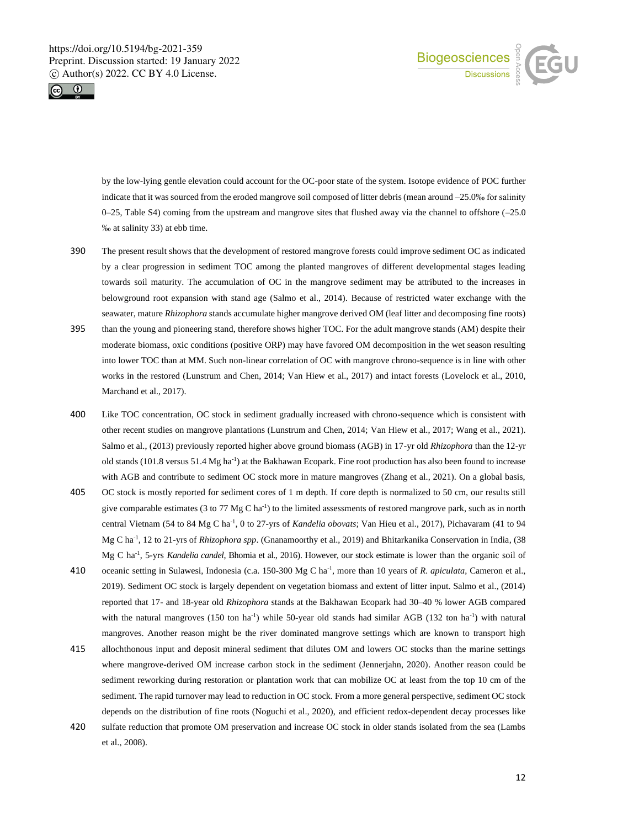



by the low-lying gentle elevation could account for the OC-poor state of the system. Isotope evidence of POC further indicate that it was sourced from the eroded mangrove soil composed of litter debris (mean around –25.0‰ for salinity  $0-25$ , Table S4) coming from the upstream and mangrove sites that flushed away via the channel to offshore  $(-25.0$ ‰ at salinity 33) at ebb time.

- 390 The present result shows that the development of restored mangrove forests could improve sediment OC as indicated by a clear progression in sediment TOC among the planted mangroves of different developmental stages leading towards soil maturity. The accumulation of OC in the mangrove sediment may be attributed to the increases in belowground root expansion with stand age (Salmo et al., 2014). Because of restricted water exchange with the seawater, mature *Rhizophora* stands accumulate higher mangrove derived OM (leaf litter and decomposing fine roots)
- 395 than the young and pioneering stand, therefore shows higher TOC. For the adult mangrove stands (AM) despite their moderate biomass, oxic conditions (positive ORP) may have favored OM decomposition in the wet season resulting into lower TOC than at MM. Such non-linear correlation of OC with mangrove chrono-sequence is in line with other works in the restored (Lunstrum and Chen, 2014; Van Hiew et al., 2017) and intact forests (Lovelock et al., 2010, Marchand et al., 2017).
- 400 Like TOC concentration, OC stock in sediment gradually increased with chrono-sequence which is consistent with other recent studies on mangrove plantations (Lunstrum and Chen, 2014; Van Hiew et al., 2017; Wang et al., 2021). Salmo et al., (2013) previously reported higher above ground biomass (AGB) in 17-yr old *Rhizophora* than the 12-yr old stands (101.8 versus 51.4 Mg ha<sup>-1</sup>) at the Bakhawan Ecopark. Fine root production has also been found to increase with AGB and contribute to sediment OC stock more in mature mangroves (Zhang et al., 2021). On a global basis,
- 405 OC stock is mostly reported for sediment cores of 1 m depth. If core depth is normalized to 50 cm, our results still give comparable estimates (3 to 77 Mg C ha<sup>-1</sup>) to the limited assessments of restored mangrove park, such as in north central Vietnam (54 to 84 Mg C ha<sup>-1</sup>, 0 to 27-yrs of *Kandelia obovats*; Van Hieu et al., 2017), Pichavaram (41 to 94 Mg C ha-1 , 12 to 21-yrs of *Rhizophora spp*. (Gnanamoorthy et al., 2019) and Bhitarkanika Conservation in India, (38 Mg C ha-1 , 5-yrs *Kandelia candel*, Bhomia et al., 2016). However, our stock estimate is lower than the organic soil of
- 410 oceanic setting in Sulawesi, Indonesia (c.a. 150-300 Mg C ha<sup>-1</sup>, more than 10 years of *R. apiculata*, Cameron et al., 2019). Sediment OC stock is largely dependent on vegetation biomass and extent of litter input. Salmo et al., (2014) reported that 17- and 18-year old *Rhizophora* stands at the Bakhawan Ecopark had 30–40 % lower AGB compared with the natural mangroves (150 ton ha<sup>-1</sup>) while 50-year old stands had similar AGB (132 ton ha<sup>-1</sup>) with natural mangroves. Another reason might be the river dominated mangrove settings which are known to transport high
- 415 allochthonous input and deposit mineral sediment that dilutes OM and lowers OC stocks than the marine settings where mangrove-derived OM increase carbon stock in the sediment (Jennerjahn, 2020). Another reason could be sediment reworking during restoration or plantation work that can mobilize OC at least from the top 10 cm of the sediment. The rapid turnover may lead to reduction in OC stock. From a more general perspective, sediment OC stock depends on the distribution of fine roots (Noguchi et al., 2020), and efficient redox-dependent decay processes like
- 420 sulfate reduction that promote OM preservation and increase OC stock in older stands isolated from the sea (Lambs et al., 2008).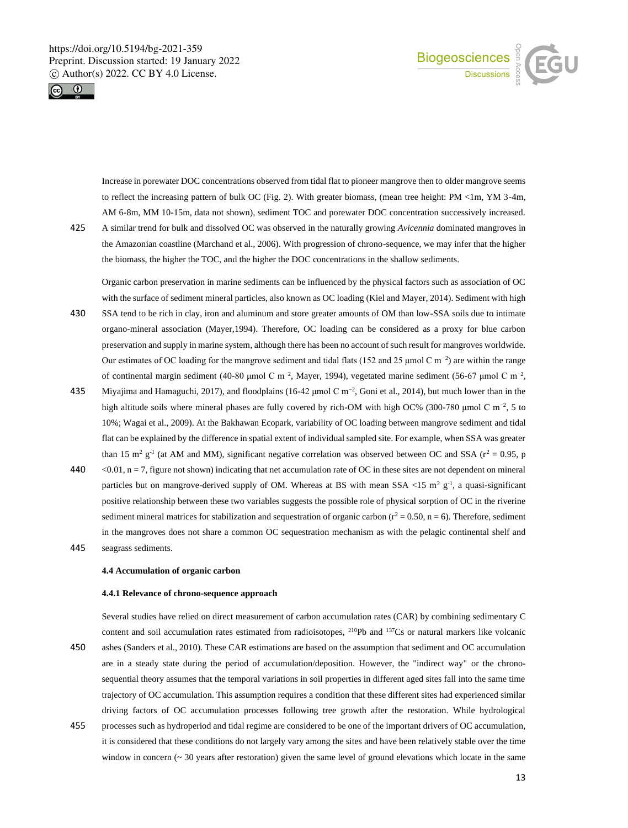



Increase in porewater DOC concentrations observed from tidal flat to pioneer mangrove then to older mangrove seems to reflect the increasing pattern of bulk OC (Fig. 2). With greater biomass, (mean tree height: PM <1m, YM 3-4m, AM 6-8m, MM 10-15m, data not shown), sediment TOC and porewater DOC concentration successively increased. 425 A similar trend for bulk and dissolved OC was observed in the naturally growing *Avicennia* dominated mangroves in

the Amazonian coastline (Marchand et al., 2006). With progression of chrono-sequence, we may infer that the higher the biomass, the higher the TOC, and the higher the DOC concentrations in the shallow sediments.

Organic carbon preservation in marine sediments can be influenced by the physical factors such as association of OC with the surface of sediment mineral particles, also known as OC loading (Kiel and Mayer, 2014). Sediment with high

- 430 SSA tend to be rich in clay, iron and aluminum and store greater amounts of OM than low-SSA soils due to intimate organo-mineral association (Mayer,1994). Therefore, OC loading can be considered as a proxy for blue carbon preservation and supply in marine system, although there has been no account of such result for mangroves worldwide. Our estimates of OC loading for the mangrove sediment and tidal flats (152 and 25 µmol C m<sup>-2</sup>) are within the range of continental margin sediment (40-80 μmol C m<sup>-2</sup>, Mayer, 1994), vegetated marine sediment (56-67 μmol C m<sup>-2</sup>,
- Miyajima and Hamaguchi, 2017), and floodplains (16-42 µmol C m<sup>-2</sup>, Goni et al., 2014), but much lower than in the high altitude soils where mineral phases are fully covered by rich-OM with high OC% (300-780 µmol C m<sup>-2</sup>, 5 to 10%; Wagai et al., 2009). At the Bakhawan Ecopark, variability of OC loading between mangrove sediment and tidal flat can be explained by the difference in spatial extent of individual sampled site. For example, when SSA was greater than 15 m<sup>2</sup> g<sup>-1</sup> (at AM and MM), significant negative correlation was observed between OC and SSA ( $r^2$  = 0.95, p
- 440  $\langle 0.01, n = 7$ , figure not shown) indicating that net accumulation rate of OC in these sites are not dependent on mineral particles but on mangrove-derived supply of OM. Whereas at BS with mean SSA <15 m<sup>2</sup> g<sup>-1</sup>, a quasi-significant positive relationship between these two variables suggests the possible role of physical sorption of OC in the riverine sediment mineral matrices for stabilization and sequestration of organic carbon ( $r^2 = 0.50$ ,  $n = 6$ ). Therefore, sediment in the mangroves does not share a common OC sequestration mechanism as with the pelagic continental shelf and 445 seagrass sediments.

#### **4.4 Accumulation of organic carbon**

## **4.4.1 Relevance of chrono-sequence approach**

Several studies have relied on direct measurement of carbon accumulation rates (CAR) by combining sedimentary C content and soil accumulation rates estimated from radioisotopes, <sup>210</sup>Pb and <sup>137</sup>Cs or natural markers like volcanic

- 450 ashes (Sanders et al., 2010). These CAR estimations are based on the assumption that sediment and OC accumulation are in a steady state during the period of accumulation/deposition. However, the "indirect way" or the chronosequential theory assumes that the temporal variations in soil properties in different aged sites fall into the same time trajectory of OC accumulation. This assumption requires a condition that these different sites had experienced similar driving factors of OC accumulation processes following tree growth after the restoration. While hydrological
- 455 processes such as hydroperiod and tidal regime are considered to be one of the important drivers of OC accumulation, it is considered that these conditions do not largely vary among the sites and have been relatively stable over the time window in concern  $($   $\sim$  30 years after restoration) given the same level of ground elevations which locate in the same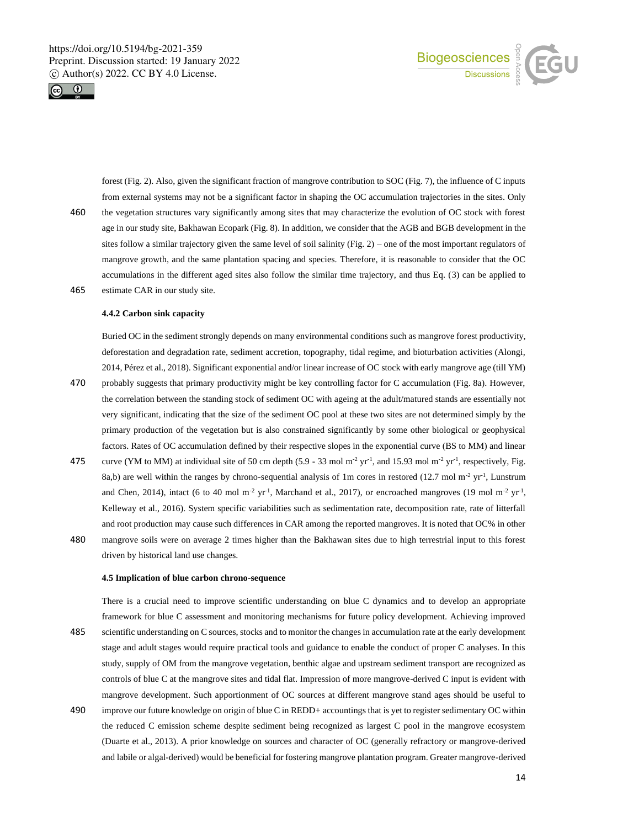



forest (Fig. 2). Also, given the significant fraction of mangrove contribution to SOC (Fig. 7), the influence of C inputs from external systems may not be a significant factor in shaping the OC accumulation trajectories in the sites. Only

460 the vegetation structures vary significantly among sites that may characterize the evolution of OC stock with forest age in our study site, Bakhawan Ecopark (Fig. 8). In addition, we consider that the AGB and BGB development in the sites follow a similar trajectory given the same level of soil salinity (Fig. 2) – one of the most important regulators of mangrove growth, and the same plantation spacing and species. Therefore, it is reasonable to consider that the OC accumulations in the different aged sites also follow the similar time trajectory, and thus Eq. (3) can be applied to 465 estimate CAR in our study site.

#### **4.4.2 Carbon sink capacity**

Buried OC in the sediment strongly depends on many environmental conditions such as mangrove forest productivity, deforestation and degradation rate, sediment accretion, topography, tidal regime, and bioturbation activities (Alongi, 2014, Pérez et al., 2018). Significant exponential and/or linear increase of OC stock with early mangrove age (till YM)

- 470 probably suggests that primary productivity might be key controlling factor for C accumulation (Fig. 8a). However, the correlation between the standing stock of sediment OC with ageing at the adult/matured stands are essentially not very significant, indicating that the size of the sediment OC pool at these two sites are not determined simply by the primary production of the vegetation but is also constrained significantly by some other biological or geophysical factors. Rates of OC accumulation defined by their respective slopes in the exponential curve (BS to MM) and linear
- 475 curve (YM to MM) at individual site of 50 cm depth (5.9 33 mol m<sup>-2</sup> yr<sup>-1</sup>, and 15.93 mol m<sup>-2</sup> yr<sup>-1</sup>, respectively, Fig. 8a,b) are well within the ranges by chrono-sequential analysis of 1m cores in restored  $(12.7 \text{ mol m}^2 \text{ yr}^1)$ , Lunstrum and Chen, 2014), intact (6 to 40 mol m<sup>-2</sup> yr<sup>-1</sup>, Marchand et al., 2017), or encroached mangroves (19 mol m<sup>-2</sup> yr<sup>-1</sup>, Kelleway et al., 2016). System specific variabilities such as sedimentation rate, decomposition rate, rate of litterfall and root production may cause such differences in CAR among the reported mangroves. It is noted that OC% in other
- 480 mangrove soils were on average 2 times higher than the Bakhawan sites due to high terrestrial input to this forest driven by historical land use changes.

#### **4.5 Implication of blue carbon chrono-sequence**

There is a crucial need to improve scientific understanding on blue C dynamics and to develop an appropriate framework for blue C assessment and monitoring mechanisms for future policy development. Achieving improved 485 scientific understanding on C sources, stocks and to monitor the changes in accumulation rate at the early development stage and adult stages would require practical tools and guidance to enable the conduct of proper C analyses. In this study, supply of OM from the mangrove vegetation, benthic algae and upstream sediment transport are recognized as controls of blue C at the mangrove sites and tidal flat. Impression of more mangrove-derived C input is evident with

mangrove development. Such apportionment of OC sources at different mangrove stand ages should be useful to

490 improve our future knowledge on origin of blue C in REDD+ accountings that is yet to register sedimentary OC within the reduced C emission scheme despite sediment being recognized as largest C pool in the mangrove ecosystem (Duarte et al., 2013). A prior knowledge on sources and character of OC (generally refractory or mangrove-derived and labile or algal-derived) would be beneficial for fostering mangrove plantation program. Greater mangrove-derived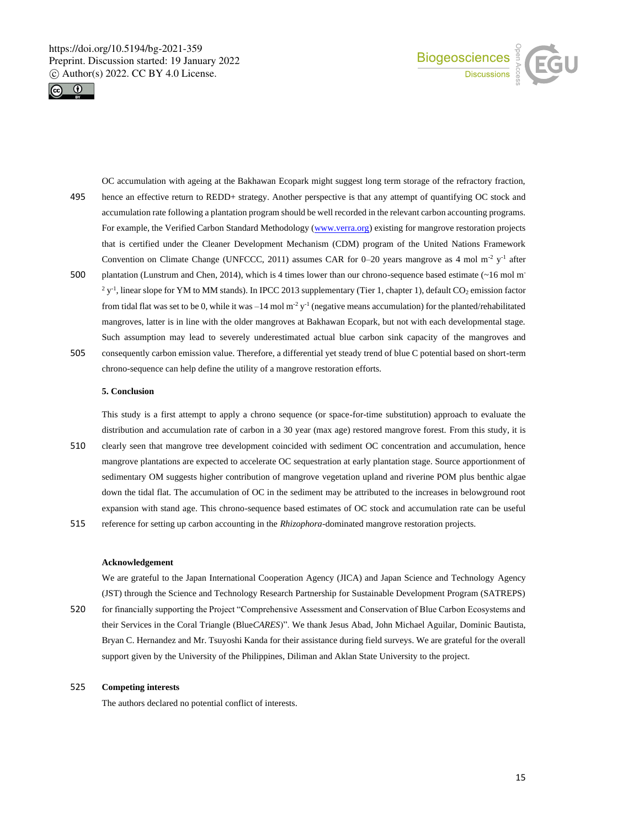



OC accumulation with ageing at the Bakhawan Ecopark might suggest long term storage of the refractory fraction, 495 hence an effective return to REDD+ strategy. Another perspective is that any attempt of quantifying OC stock and accumulation rate following a plantation program should be well recorded in the relevant carbon accounting programs. For example, the Verified Carbon Standard Methodology (www.verra.org) existing for mangrove restoration projects that is certified under the Cleaner Development Mechanism (CDM) program of the United Nations Framework Convention on Climate Change (UNFCCC, 2011) assumes CAR for 0–20 years mangrove as 4 mol m<sup>-2</sup> y<sup>-1</sup> after 500 plantation (Lunstrum and Chen, 2014), which is 4 times lower than our chrono-sequence based estimate (~16 mol m<sup>-</sup>  $2 y<sup>-1</sup>$ , linear slope for YM to MM stands). In IPCC 2013 supplementary (Tier 1, chapter 1), default CO<sub>2</sub> emission factor from tidal flat was set to be 0, while it was  $-14$  mol m<sup>-2</sup> y<sup>-1</sup> (negative means accumulation) for the planted/rehabilitated

Such assumption may lead to severely underestimated actual blue carbon sink capacity of the mangroves and 505 consequently carbon emission value. Therefore, a differential yet steady trend of blue C potential based on short-term chrono-sequence can help define the utility of a mangrove restoration efforts.

mangroves, latter is in line with the older mangroves at Bakhawan Ecopark, but not with each developmental stage.

#### **5. Conclusion**

This study is a first attempt to apply a chrono sequence (or space-for-time substitution) approach to evaluate the distribution and accumulation rate of carbon in a 30 year (max age) restored mangrove forest. From this study, it is

510 clearly seen that mangrove tree development coincided with sediment OC concentration and accumulation, hence mangrove plantations are expected to accelerate OC sequestration at early plantation stage. Source apportionment of sedimentary OM suggests higher contribution of mangrove vegetation upland and riverine POM plus benthic algae down the tidal flat. The accumulation of OC in the sediment may be attributed to the increases in belowground root expansion with stand age. This chrono-sequence based estimates of OC stock and accumulation rate can be useful 515 reference for setting up carbon accounting in the *Rhizophora*-dominated mangrove restoration projects.

#### **Acknowledgement**

We are grateful to the Japan International Cooperation Agency (JICA) and Japan Science and Technology Agency (JST) through the Science and Technology Research Partnership for Sustainable Development Program (SATREPS) 520 for financially supporting the Project "Comprehensive Assessment and Conservation of Blue Carbon Ecosystems and

their Services in the Coral Triangle (Blue*CARES*)". We thank Jesus Abad, John Michael Aguilar, Dominic Bautista, Bryan C. Hernandez and Mr. Tsuyoshi Kanda for their assistance during field surveys. We are grateful for the overall support given by the University of the Philippines, Diliman and Aklan State University to the project.

# 525 **Competing interests**

The authors declared no potential conflict of interests.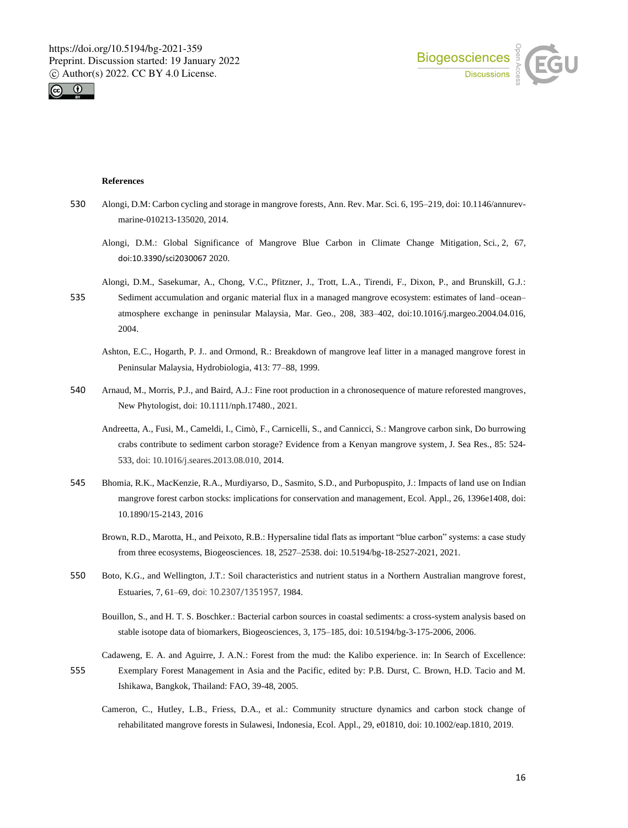



#### **References**

- 530 Alongi, D.M: Carbon cycling and storage in mangrove forests, Ann. Rev. Mar. Sci. 6, 195–219, doi: 10.1146/annurevmarine-010213-135020, 2014.
	- Alongi, D.M.: Global Significance of Mangrove Blue Carbon in Climate Change Mitigation, Sci*.,* 2*,* 67, doi:10.3390/sci2030067 2020.
- Alongi, D.M., Sasekumar, A., Chong, V.C., Pfitzner, J., Trott, L.A., Tirendi, F., Dixon, P., and Brunskill, G.J.: 535 Sediment accumulation and organic material flux in a managed mangrove ecosystem: estimates of land–ocean– atmosphere exchange in peninsular Malaysia, Mar. Geo., 208, 383–402, doi:10.1016/j.margeo.2004.04.016, 2004.
	- Ashton, E.C., Hogarth, P. J.. and Ormond, R.: Breakdown of mangrove leaf litter in a managed mangrove forest in Peninsular Malaysia, Hydrobiologia, 413: 77–88, 1999.
- 540 Arnaud, M., Morris, P.J., and Baird, A.J.: Fine root production in a chronosequence of mature reforested mangroves, New Phytologist, doi: 10.1111/nph.17480., 2021.
	- Andreetta, A., Fusi, M., Cameldi, I., Cimò, F., Carnicelli, S., and Cannicci, S.: Mangrove carbon sink, Do burrowing crabs contribute to sediment carbon storage? Evidence from a Kenyan mangrove system, J. Sea Res., 85: 524- 533, doi: 10.1016/j.seares.2013.08.010, 2014.
- 545 Bhomia, R.K., MacKenzie, R.A., Murdiyarso, D., Sasmito, S.D., and Purbopuspito, J.: Impacts of land use on Indian mangrove forest carbon stocks: implications for conservation and management, Ecol. Appl., 26, 1396e1408, doi: 10.1890/15-2143, 2016
	- Brown, R.D., Marotta, H., and Peixoto, R.B.: Hypersaline tidal flats as important "blue carbon" systems: a case study from three ecosystems, Biogeosciences. 18, 2527–2538. doi: 10.5194/bg-18-2527-2021, 2021.
- 550 Boto, K.G., and Wellington, J.T.: Soil characteristics and nutrient status in a Northern Australian mangrove forest, Estuaries, 7, 61–69, doi: 10.2307/1351957, 1984.
	- Bouillon, S., and H. T. S. Boschker.: Bacterial carbon sources in coastal sediments: a cross-system analysis based on stable isotope data of biomarkers, Biogeosciences, 3, 175–185, doi: 10.5194/bg-3-175-2006, 2006.
- Cadaweng, E. A. and Aguirre, J. A.N.: Forest from the mud: the Kalibo experience. in: In Search of Excellence: 555 Exemplary Forest Management in Asia and the Pacific, edited by: P.B. Durst, C. Brown, H.D. Tacio and M. Ishikawa, Bangkok, Thailand: FAO, 39-48, 2005.
	- Cameron, C., Hutley, L.B., Friess, D.A., et al.: Community structure dynamics and carbon stock change of rehabilitated mangrove forests in Sulawesi, Indonesia, Ecol. Appl., 29, e01810, doi: 10.1002/eap.1810, 2019.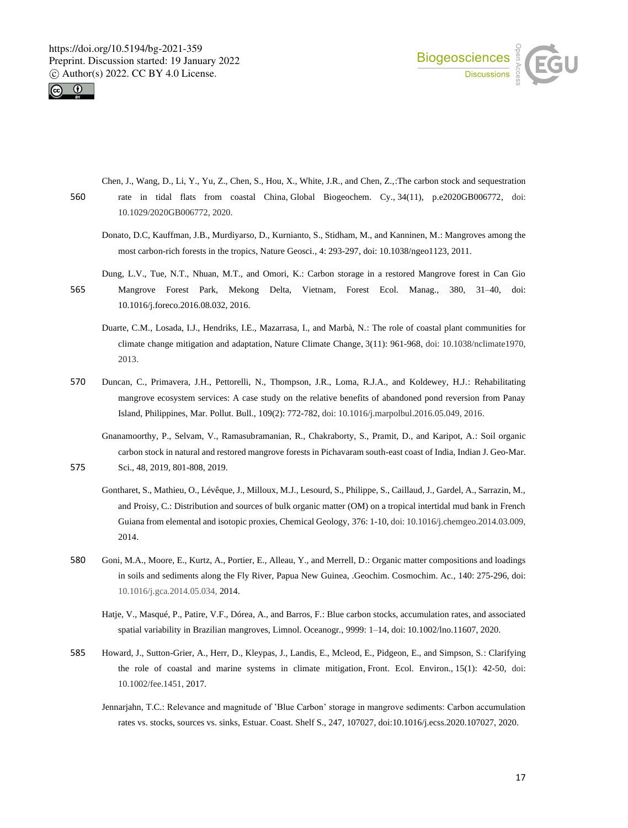



- Chen, J., Wang, D., Li, Y., Yu, Z., Chen, S., Hou, X., White, J.R., and Chen, Z.,:The carbon stock and sequestration 560 rate in tidal flats from coastal China, Global Biogeochem. Cy., 34(11), p.e2020GB006772, doi: 10.1029/2020GB006772, 2020.
	- Donato, D.C, Kauffman, J.B., Murdiyarso, D., Kurnianto, S., Stidham, M., and Kanninen, M.: Mangroves among the most carbon-rich forests in the tropics, Nature Geosci., 4: 293-297, doi: 10.1038/ngeo1123, 2011.
- Dung, L.V., Tue, N.T., Nhuan, M.T., and Omori, K.: Carbon storage in a restored Mangrove forest in Can Gio 565 Mangrove Forest Park, Mekong Delta, Vietnam, Forest Ecol. Manag., 380, 31–40, doi: 10.1016/j.foreco.2016.08.032, 2016.
	- Duarte, C.M., Losada, I.J., Hendriks, I.E., Mazarrasa, I., and Marbà, N.: The role of coastal plant communities for climate change mitigation and adaptation, Nature Climate Change, 3(11): 961-968, doi: 10.1038/nclimate1970, 2013.
- 570 Duncan, C., Primavera, J.H., Pettorelli, N., Thompson, J.R., Loma, R.J.A., and Koldewey, H.J.: Rehabilitating mangrove ecosystem services: A case study on the relative benefits of abandoned pond reversion from Panay Island, Philippines, Mar. Pollut. Bull., 109(2): 772-782, doi: 10.1016/j.marpolbul.2016.05.049, 2016.
- Gnanamoorthy, P., Selvam, V., Ramasubramanian, R., Chakraborty, S., Pramit, D., and Karipot, A.: Soil organic carbon stock in natural and restored mangrove forests in Pichavaram south-east coast of India, Indian J. Geo-Mar. 575 Sci., 48, 2019, 801-808, 2019.
	- Gontharet, S., Mathieu, O., Lévêque, J., Milloux, M.J., Lesourd, S., Philippe, S., Caillaud, J., Gardel, A., Sarrazin, M., and Proisy, C.: Distribution and sources of bulk organic matter (OM) on a tropical intertidal mud bank in French Guiana from elemental and isotopic proxies, Chemical Geology, 376: 1-10, doi: 10.1016/j.chemgeo.2014.03.009, 2014.
- 580 Goni, M.A., Moore, E., Kurtz, A., Portier, E., Alleau, Y., and Merrell, D.: Organic matter compositions and loadings in soils and sediments along the Fly River, Papua New Guinea, .Geochim. Cosmochim. Ac., 140: 275-296, doi: 10.1016/j.gca.2014.05.034, 2014.
	- Hatje, V., Masqué, P., Patire, V.F., Dórea, A., and Barros, F.: Blue carbon stocks, accumulation rates, and associated spatial variability in Brazilian mangroves, Limnol. Oceanogr., 9999: 1–14, doi: 10.1002/lno.11607, 2020.
- 585 Howard, J., Sutton-Grier, A., Herr, D., Kleypas, J., Landis, E., Mcleod, E., Pidgeon, E., and Simpson, S.: Clarifying the role of coastal and marine systems in climate mitigation, Front. Ecol. Environ., 15(1): 42-50, doi: 10.1002/fee.1451, 2017.
	- Jennarjahn, T.C.: Relevance and magnitude of 'Blue Carbon' storage in mangrove sediments: Carbon accumulation rates vs. stocks, sources vs. sinks, Estuar. Coast. Shelf S., 247, 107027, doi:10.1016/j.ecss.2020.107027, 2020.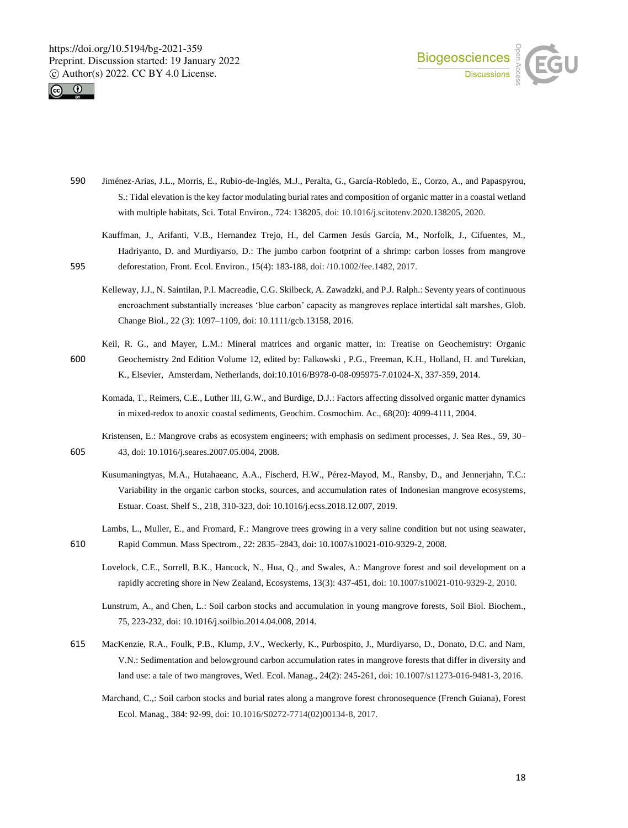



- 590 Jiménez-Arias, J.L., Morris, E., Rubio-de-Inglés, M.J., Peralta, G., García-Robledo, E., Corzo, A., and Papaspyrou, S.: Tidal elevation is the key factor modulating burial rates and composition of organic matter in a coastal wetland with multiple habitats, Sci. Total Environ., 724: 138205, doi: 10.1016/j.scitotenv.2020.138205, 2020.
- Kauffman, J., Arifanti, V.B., Hernandez Trejo, H., del Carmen Jesús García, M., Norfolk, J., Cifuentes, M., Hadriyanto, D. and Murdiyarso, D.: The jumbo carbon footprint of a shrimp: carbon losses from mangrove 595 deforestation, Front. Ecol. Environ., 15(4): 183-188, doi: /10.1002/fee.1482, 2017.
	- Kelleway, J.J., N. Saintilan, P.I. Macreadie, C.G. Skilbeck, A. Zawadzki, and P.J. Ralph.: Seventy years of continuous encroachment substantially increases 'blue carbon' capacity as mangroves replace intertidal salt marshes, Glob. Change Biol., 22 (3): 1097–1109, doi: 10.1111/gcb.13158, 2016.
- Keil, R. G., and Mayer, L.M.: Mineral matrices and organic matter, in: Treatise on Geochemistry: Organic 600 Geochemistry 2nd Edition Volume 12, edited by: Falkowski , P.G., Freeman, K.H., Holland, H. and Turekian, K., Elsevier, Amsterdam, Netherlands, doi:10.1016/B978-0-08-095975-7.01024-X, 337-359, 2014.
	- Komada, T., Reimers, C.E., Luther III, G.W., and Burdige, D.J.: Factors affecting dissolved organic matter dynamics in mixed-redox to anoxic coastal sediments, Geochim. Cosmochim. Ac., 68(20): 4099-4111, 2004.

Kristensen, E.: Mangrove crabs as ecosystem engineers; with emphasis on sediment processes, J. Sea Res., 59, 30– 605 43, doi: 10.1016/j.seares.2007.05.004, 2008.

- Kusumaningtyas, M.A., Hutahaeanc, A.A., Fischerd, H.W., Pérez-Mayod, M., Ransby, D., and Jennerjahn, T.C.: Variability in the organic carbon stocks, sources, and accumulation rates of Indonesian mangrove ecosystems, Estuar. Coast. Shelf S., 218, 310-323, doi: 10.1016/j.ecss.2018.12.007, 2019.
- Lambs, L., Muller, E., and Fromard, F.: Mangrove trees growing in a very saline condition but not using seawater, 610 Rapid Commun. Mass Spectrom., 22: 2835–2843, doi: 10.1007/s10021-010-9329-2, 2008.
	- Lovelock, C.E., Sorrell, B.K., Hancock, N., Hua, Q., and Swales, A.: Mangrove forest and soil development on a rapidly accreting shore in New Zealand, Ecosystems, 13(3): 437-451, doi: 10.1007/s10021-010-9329-2, 2010.
	- Lunstrum, A., and Chen, L.: Soil carbon stocks and accumulation in young mangrove forests, Soil Biol. Biochem., 75, 223-232, doi: 10.1016/j.soilbio.2014.04.008, 2014.
- 615 MacKenzie, R.A., Foulk, P.B., Klump, J.V., Weckerly, K., Purbospito, J., Murdiyarso, D., Donato, D.C. and Nam, V.N.: Sedimentation and belowground carbon accumulation rates in mangrove forests that differ in diversity and land use: a tale of two mangroves, Wetl. Ecol. Manag., 24(2): 245-261, doi: 10.1007/s11273-016-9481-3, 2016.
	- Marchand, C.,: Soil carbon stocks and burial rates along a mangrove forest chronosequence (French Guiana), Forest Ecol. Manag., 384: 92-99, doi: 10.1016/S0272-7714(02)00134-8, 2017.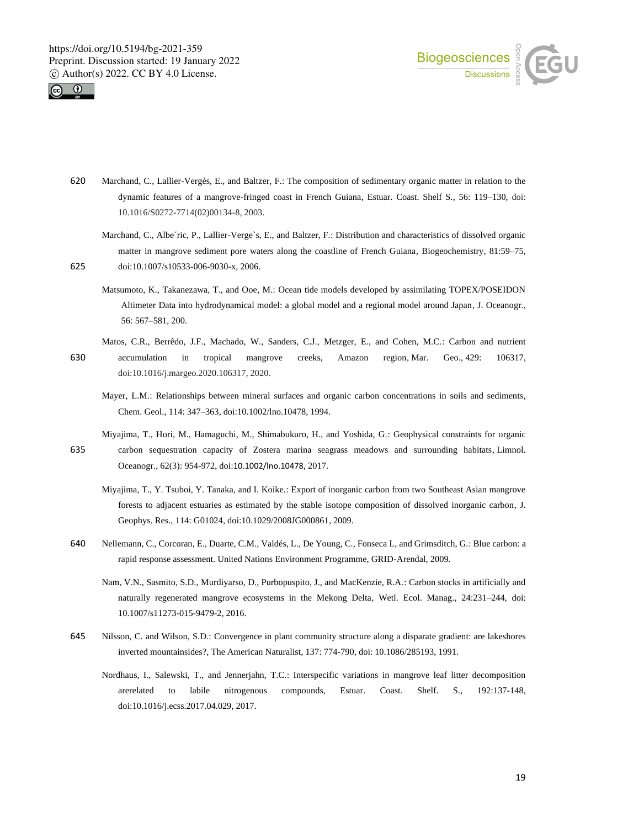



- 620 Marchand, C., Lallier-Vergès, E., and Baltzer, F.: The composition of sedimentary organic matter in relation to the dynamic features of a mangrove-fringed coast in French Guiana, Estuar. Coast. Shelf S., 56: 119–130, doi: 10.1016/S0272-7714(02)00134-8, 2003.
- Marchand, C., Albe´ric, P., Lallier-Verge`s, E., and Baltzer, F.: Distribution and characteristics of dissolved organic matter in mangrove sediment pore waters along the coastline of French Guiana, Biogeochemistry, 81:59–75, 625 doi:10.1007/s10533-006-9030-x, 2006.
	- Matsumoto, K., Takanezawa, T., and Ooe, M.: Ocean tide models developed by assimilating TOPEX/POSEIDON Altimeter Data into hydrodynamical model: a global model and a regional model around Japan, J. Oceanogr., 56: 567–581, 200.
- Matos, C.R., Berrêdo, J.F., Machado, W., Sanders, C.J., Metzger, E., and Cohen, M.C.: Carbon and nutrient 630 accumulation in tropical mangrove creeks, Amazon region, Mar. Geo., 429: 106317, doi:10.1016/j.margeo.2020.106317, 2020.
	- Mayer, L.M.: Relationships between mineral surfaces and organic carbon concentrations in soils and sediments, Chem. Geol., 114: 347–363, doi:10.1002/lno.10478, 1994.
- Miyajima, T., Hori, M., Hamaguchi, M., Shimabukuro, H., and Yoshida, G.: Geophysical constraints for organic 635 carbon sequestration capacity of Zostera marina seagrass meadows and surrounding habitats, Limnol. Oceanogr., 62(3): 954-972, doi:10.1002/lno.10478, 2017.
	- Miyajima, T., Y. Tsuboi, Y. Tanaka, and I. Koike.: Export of inorganic carbon from two Southeast Asian mangrove forests to adjacent estuaries as estimated by the stable isotope composition of dissolved inorganic carbon, J. Geophys. Res., 114: G01024, doi:10.1029/2008JG000861, 2009.
- 640 Nellemann, C., Corcoran, E., Duarte, C.M., Valdés, L., De Young, C., Fonseca L, and Grimsditch, G.: Blue carbon: a rapid response assessment. United Nations Environment Programme, GRID-Arendal, 2009.
	- Nam, V.N., Sasmito, S.D., Murdiyarso, D., Purbopuspito, J., and MacKenzie, R.A.: Carbon stocks in artificially and naturally regenerated mangrove ecosystems in the Mekong Delta, Wetl. Ecol. Manag., 24:231–244, doi: 10.1007/s11273-015-9479-2, 2016.
- 645 Nilsson, C. and Wilson, S.D.: Convergence in plant community structure along a disparate gradient: are lakeshores inverted mountainsides?, The American Naturalist, 137: 774-790, doi: 10.1086/285193, 1991.
	- Nordhaus, I., Salewski, T., and Jennerjahn, T.C.: Interspecific variations in mangrove leaf litter decomposition arerelated to labile nitrogenous compounds, Estuar. Coast. Shelf. S., 192:137-148, doi:10.1016/j.ecss.2017.04.029, 2017.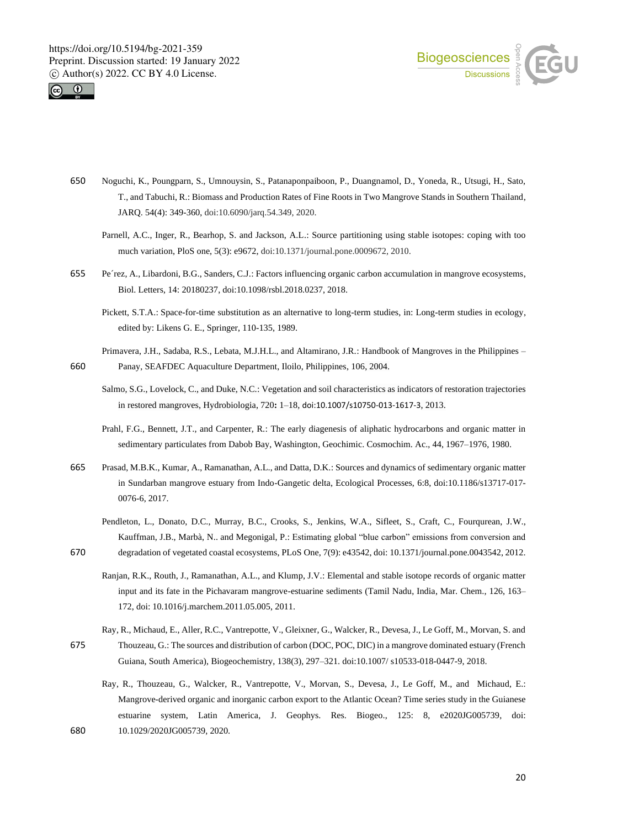



- 650 Noguchi, K., Poungparn, S., Umnouysin, S., Patanaponpaiboon, P., Duangnamol, D., Yoneda, R., Utsugi, H., Sato, T., and Tabuchi, R.: Biomass and Production Rates of Fine Roots in Two Mangrove Stands in Southern Thailand, JARQ. 54(4): 349-360, doi:10.6090/jarq.54.349, 2020.
	- Parnell, A.C., Inger, R., Bearhop, S. and Jackson, A.L.: Source partitioning using stable isotopes: coping with too much variation, PloS one, 5(3): e9672, doi:10.1371/journal.pone.0009672, 2010.
- 655 Pe´rez, A., Libardoni, B.G., Sanders, C.J.: Factors influencing organic carbon accumulation in mangrove ecosystems, Biol. Letters, 14: 20180237, doi:10.1098/rsbl.2018.0237, 2018.
	- Pickett, S.T.A.: Space-for-time substitution as an alternative to long-term studies, in: Long-term studies in ecology, edited by: Likens G. E., Springer, 110-135, 1989.
- Primavera, J.H., Sadaba, R.S., Lebata, M.J.H.L., and Altamirano, J.R.: Handbook of Mangroves in the Philippines 660 Panay, SEAFDEC Aquaculture Department, Iloilo, Philippines, 106, 2004.
	- Salmo, S.G., Lovelock, C., and Duke, N.C.: Vegetation and soil characteristics as indicators of restoration trajectories in restored mangroves, Hydrobiologia, 720**:** 1–18, doi:10.1007/s10750-013-1617-3, 2013.
	- Prahl, F.G., Bennett, J.T., and Carpenter, R.: The early diagenesis of aliphatic hydrocarbons and organic matter in sedimentary particulates from Dabob Bay, Washington, Geochimic. Cosmochim. Ac., 44, 1967–1976, 1980.
- 665 Prasad, M.B.K., Kumar, A., Ramanathan, A.L., and Datta, D.K.: Sources and dynamics of sedimentary organic matter in Sundarban mangrove estuary from Indo-Gangetic delta, Ecological Processes, 6:8, doi:10.1186/s13717-017- 0076-6, 2017.
	- Pendleton, L., Donato, D.C., Murray, B.C., Crooks, S., Jenkins, W.A., Sifleet, S., Craft, C., Fourqurean, J.W., Kauffman, J.B., Marbà, N.. and Megonigal, P.: Estimating global "blue carbon" emissions from conversion and
- 670 degradation of vegetated coastal ecosystems, PLoS One, 7(9): e43542, doi: 10.1371/journal.pone.0043542, 2012.
	- Ranjan, R.K., Routh, J., Ramanathan, A.L., and Klump, J.V.: Elemental and stable isotope records of organic matter input and its fate in the Pichavaram mangrove-estuarine sediments (Tamil Nadu, India, Mar. Chem., 126, 163– 172, doi: 10.1016/j.marchem.2011.05.005, 2011.
- Ray, R., Michaud, E., Aller, R.C., Vantrepotte, V., Gleixner, G., Walcker, R., Devesa, J., Le Goff, M., Morvan, S. and 675 Thouzeau, G.: The sources and distribution of carbon (DOC, POC, DIC) in a mangrove dominated estuary (French Guiana, South America), Biogeochemistry, 138(3), 297–321. doi:10.1007/ s10533-018-0447-9, 2018.
- Ray, R., Thouzeau, G., Walcker, R., Vantrepotte, V., Morvan, S., Devesa, J., Le Goff, M., and Michaud, E.: Mangrove-derived organic and inorganic carbon export to the Atlantic Ocean? Time series study in the Guianese estuarine system, Latin America, J. Geophys. Res. Biogeo., 125: 8, e2020JG005739, doi: 680 10.1029/2020JG005739, 2020.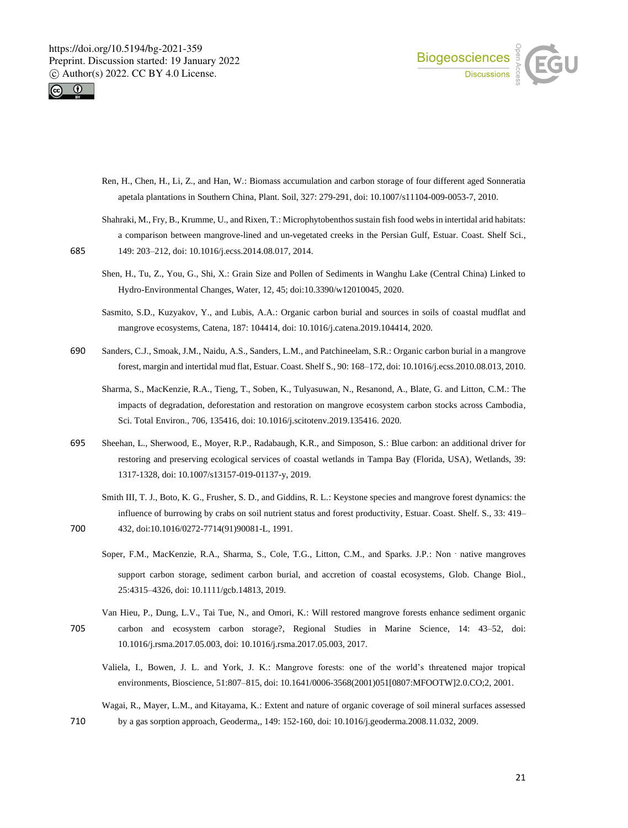



- Ren, H., Chen, H., Li, Z., and Han, W.: Biomass accumulation and carbon storage of four different aged Sonneratia apetala plantations in Southern China, Plant. Soil, 327: 279-291, doi: 10.1007/s11104-009-0053-7, 2010.
- Shahraki, M., Fry, B., Krumme, U., and Rixen, T.: Microphytobenthos sustain fish food webs in intertidal arid habitats: a comparison between mangrove-lined and un-vegetated creeks in the Persian Gulf, Estuar. Coast. Shelf Sci., 685 149: 203–212, doi: 10.1016/j.ecss.2014.08.017, 2014.
	- Shen, H., Tu, Z., You, G., Shi, X.: Grain Size and Pollen of Sediments in Wanghu Lake (Central China) Linked to Hydro-Environmental Changes, Water, 12, 45; doi:10.3390/w12010045, 2020.
	- Sasmito, S.D., Kuzyakov, Y., and Lubis, A.A.: Organic carbon burial and sources in soils of coastal mudflat and mangrove ecosystems, Catena, 187: 104414, doi: 10.1016/j.catena.2019.104414, 2020.
- 690 Sanders, C.J., Smoak, J.M., Naidu, A.S., Sanders, L.M., and Patchineelam, S.R.: Organic carbon burial in a mangrove forest, margin and intertidal mud flat, Estuar. Coast. Shelf S., 90: 168–172, doi: 10.1016/j.ecss.2010.08.013, 2010.
	- Sharma, S., MacKenzie, R.A., Tieng, T., Soben, K., Tulyasuwan, N., Resanond, A., Blate, G. and Litton, C.M.: The impacts of degradation, deforestation and restoration on mangrove ecosystem carbon stocks across Cambodia, Sci. Total Environ., 706, 135416, doi: 10.1016/j.scitotenv.2019.135416. 2020.
- 695 Sheehan, L., Sherwood, E., Moyer, R.P., Radabaugh, K.R., and Simposon, S.: Blue carbon: an additional driver for restoring and preserving ecological services of coastal wetlands in Tampa Bay (Florida, USA), Wetlands, 39: 1317-1328, doi: 10.1007/s13157-019-01137-y, 2019.
- Smith III, T. J., Boto, K. G., Frusher, S. D., and Giddins, R. L.: Keystone species and mangrove forest dynamics: the influence of burrowing by crabs on soil nutrient status and forest productivity, Estuar. Coast. Shelf. S., 33: 419– 700 432, doi:10.1016/0272-7714(91)90081-L, 1991.
	- Soper, F.M., MacKenzie, R.A., Sharma, S., Cole, T.G., Litton, C.M., and Sparks. J.P.: Non native mangroves support carbon storage, sediment carbon burial, and accretion of coastal ecosystems, Glob. Change Biol., 25:4315–4326, doi: 10.1111/gcb.14813, 2019.
- Van Hieu, P., Dung, L.V., Tai Tue, N., and Omori, K.: Will restored mangrove forests enhance sediment organic 705 carbon and ecosystem carbon storage?, Regional Studies in Marine Science, 14: 43–52, doi: 10.1016/j.rsma.2017.05.003, doi: 10.1016/j.rsma.2017.05.003, 2017.
	- Valiela, I., Bowen, J. L. and York, J. K.: Mangrove forests: one of the world's threatened major tropical environments, Bioscience, 51:807–815, doi: 10.1641/0006-3568(2001)051[0807:MFOOTW]2.0.CO;2, 2001.
- Wagai, R., Mayer, L.M., and Kitayama, K.: Extent and nature of organic coverage of soil mineral surfaces assessed 710 by a gas sorption approach, Geoderma,, 149: 152-160, doi: 10.1016/j.geoderma.2008.11.032, 2009.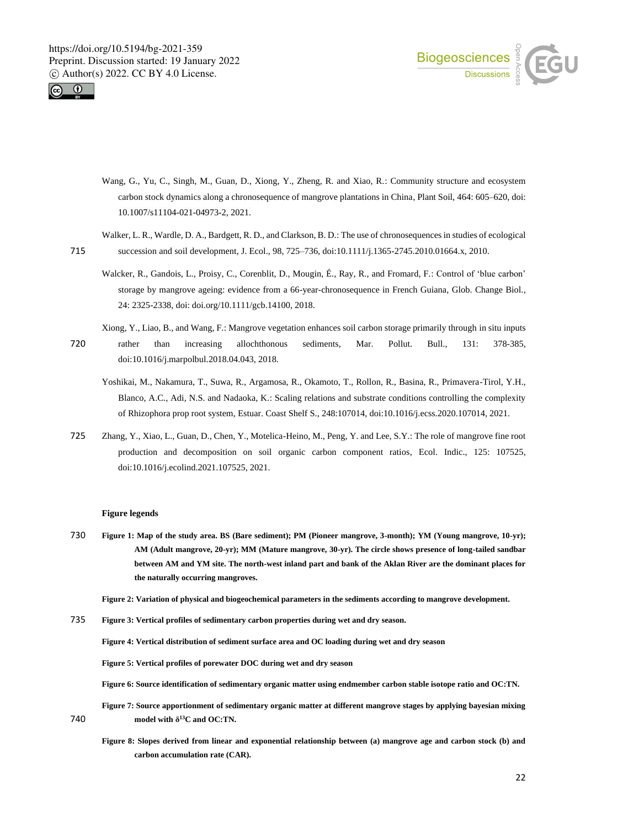



- Wang, G., Yu, C., Singh, M., Guan, D., Xiong, Y., Zheng, R. and Xiao, R.: Community structure and ecosystem carbon stock dynamics along a chronosequence of mangrove plantations in China, Plant Soil, 464: 605–620, doi: 10.1007/s11104-021-04973-2, 2021.
- Walker, L. R., Wardle, D. A., Bardgett, R. D., and Clarkson, B. D.: The use of chronosequences in studies of ecological 715 succession and soil development, J. Ecol., 98, 725–736, doi:10.1111/j.1365-2745.2010.01664.x, 2010.
	- Walcker, R., Gandois, L., Proisy, C., Corenblit, D., Mougin, É., Ray, R., and Fromard, F.: Control of 'blue carbon' storage by mangrove ageing: evidence from a 66-year-chronosequence in French Guiana, Glob. Change Biol., 24: 2325-2338, doi: doi.org/10.1111/gcb.14100, 2018.
- Xiong, Y., Liao, B., and Wang, F.: Mangrove vegetation enhances soil carbon storage primarily through in situ inputs 720 rather than increasing allochthonous sediments, Mar. Pollut. Bull., 131: 378-385, doi:10.1016/j.marpolbul.2018.04.043, 2018.
	- Yoshikai, M., Nakamura, T., Suwa, R., Argamosa, R., Okamoto, T., Rollon, R., Basina, R., Primavera-Tirol, Y.H., Blanco, A.C., Adi, N.S. and Nadaoka, K.: Scaling relations and substrate conditions controlling the complexity of Rhizophora prop root system, Estuar. Coast Shelf S., 248:107014, doi:10.1016/j.ecss.2020.107014, 2021.
- 725 Zhang, Y., Xiao, L., Guan, D., Chen, Y., Motelica-Heino, M., Peng, Y. and Lee, S.Y.: The role of mangrove fine root production and decomposition on soil organic carbon component ratios, Ecol. Indic., 125: 107525, doi:10.1016/j.ecolind.2021.107525, 2021.

## **Figure legends**

730 **Figure 1: Map of the study area. BS (Bare sediment); PM (Pioneer mangrove, 3-month); YM (Young mangrove, 10-yr); AM (Adult mangrove, 20-yr); MM (Mature mangrove, 30-yr). The circle shows presence of long-tailed sandbar between AM and YM site. The north-west inland part and bank of the Aklan River are the dominant places for the naturally occurring mangroves.**

**Figure 2: Variation of physical and biogeochemical parameters in the sediments according to mangrove development.**

735 **Figure 3: Vertical profiles of sedimentary carbon properties during wet and dry season.**

**Figure 4: Vertical distribution of sediment surface area and OC loading during wet and dry season**

**Figure 5: Vertical profiles of porewater DOC during wet and dry season**

**Figure 6: Source identification of sedimentary organic matter using endmember carbon stable isotope ratio and OC:TN.**

**Figure 7: Source apportionment of sedimentary organic matter at different mangrove stages by applying bayesian mixing**  740 **13 13C** and OC:TN.

**Figure 8: Slopes derived from linear and exponential relationship between (a) mangrove age and carbon stock (b) and carbon accumulation rate (CAR).**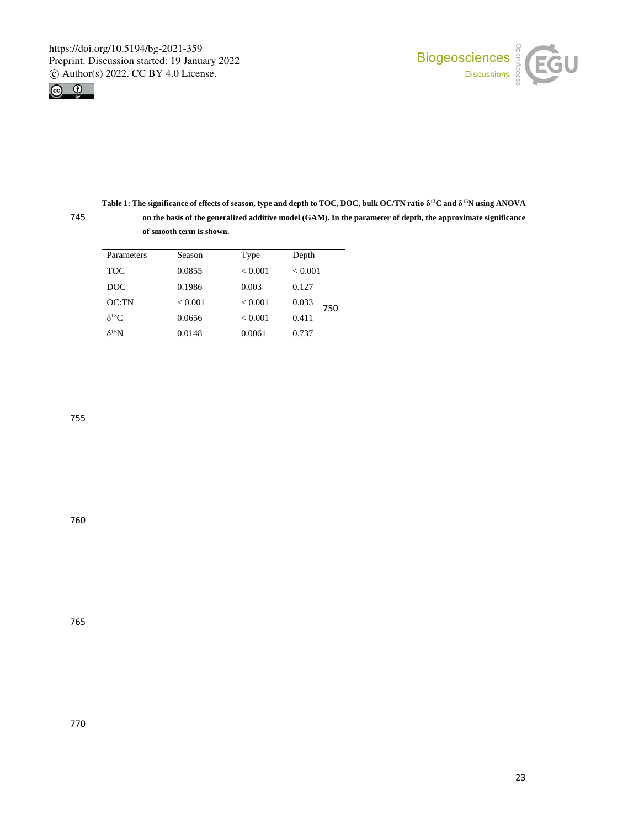



|     | Table 1: The significance of effects of season, type and depth to TOC, DOC, bulk OC/TN ratio $\delta^{13}C$ and $\delta^{15}N$ using ANOVA |
|-----|--------------------------------------------------------------------------------------------------------------------------------------------|
| 745 | on the basis of the generalized additive model (GAM). In the parameter of depth, the approximate significance                              |
|     | of smooth term is shown.                                                                                                                   |

| Season         | Type    | Depth        |
|----------------|---------|--------------|
| 0.0855         | < 0.001 | < 0.001      |
| 0.1986         | 0.003   | 0.127        |
| ${}_{< 0.001}$ | < 0.001 | 0.033<br>750 |
| 0.0656         | < 0.001 | 0.411        |
| 0.0148         | 0.0061  | 0.737        |
|                |         |              |

755

760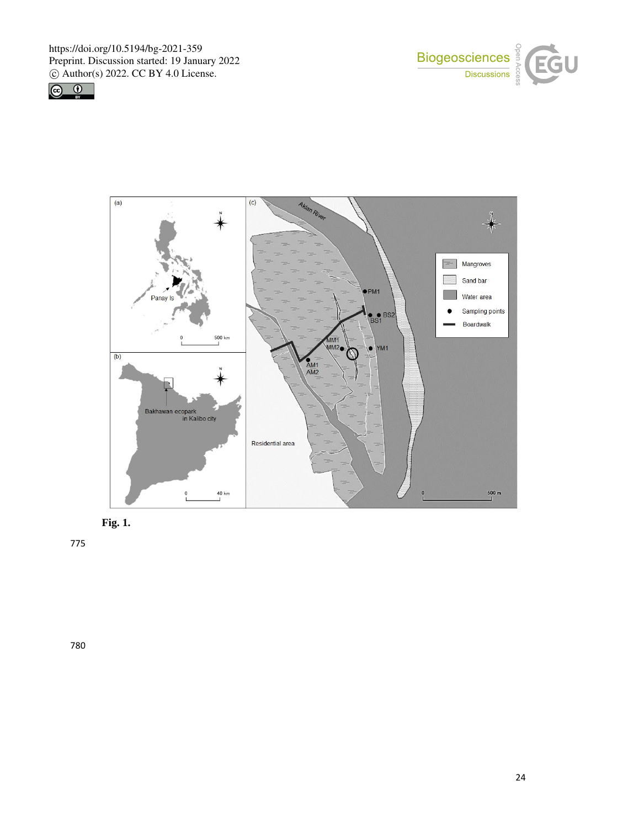







775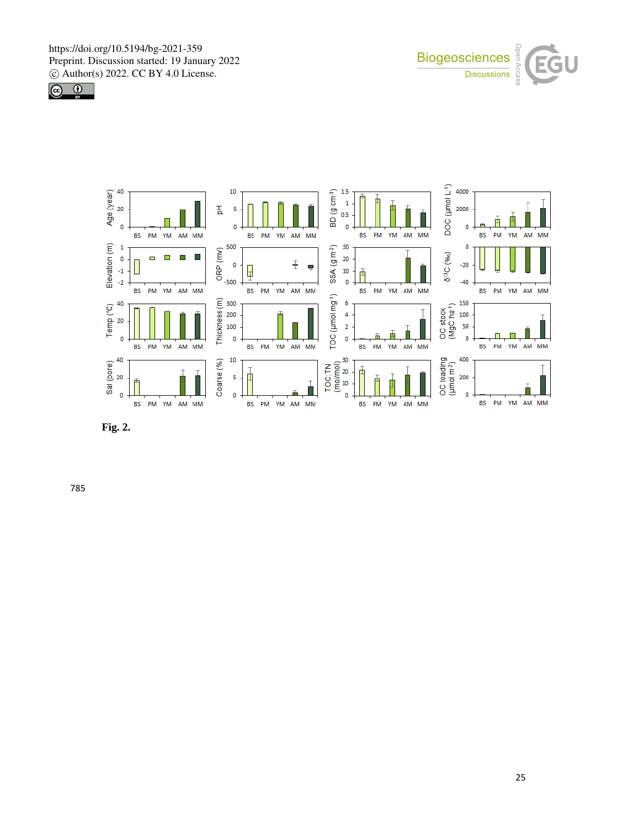





**Fig. 2.**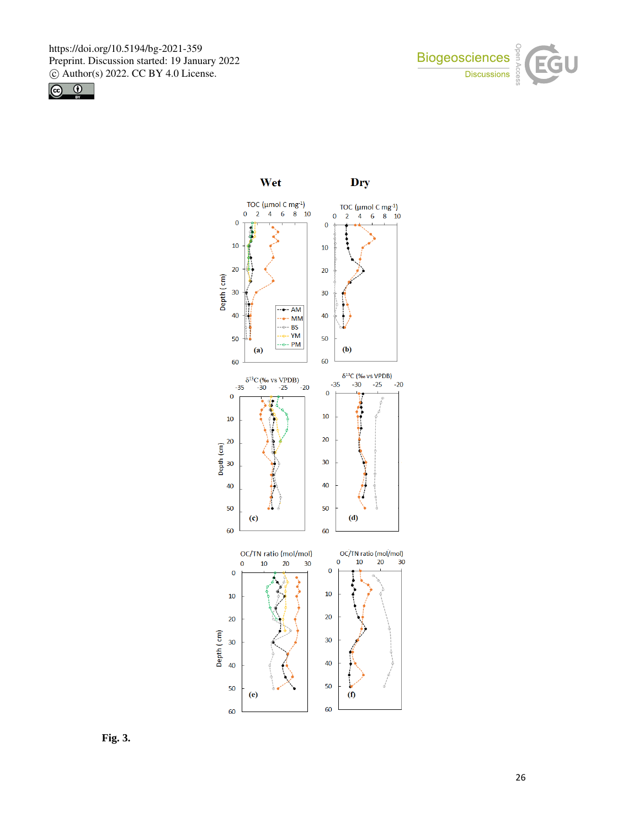





**Fig. 3.**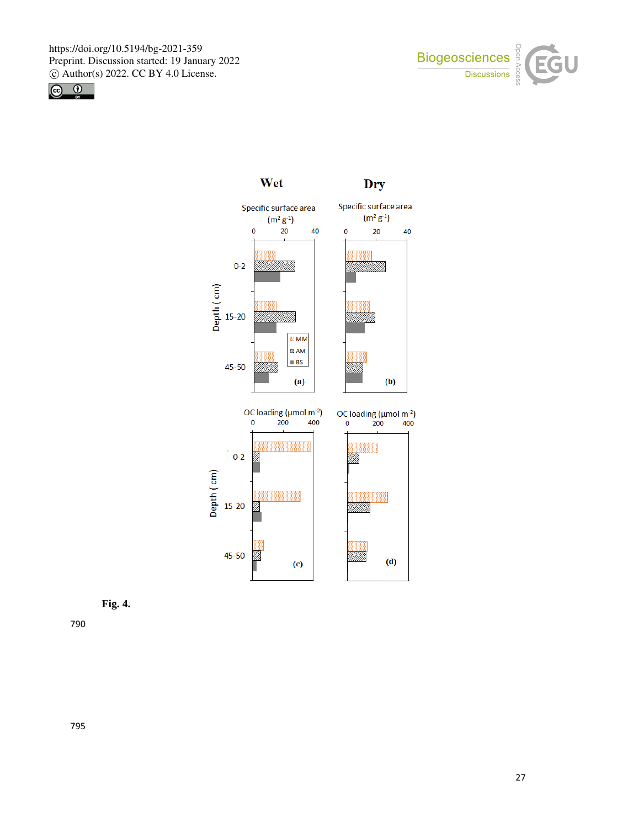







790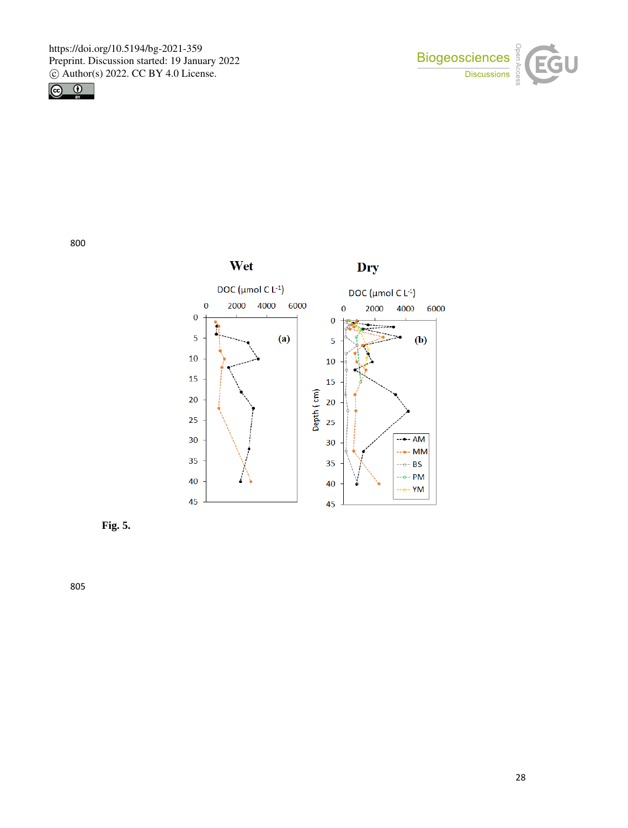



800



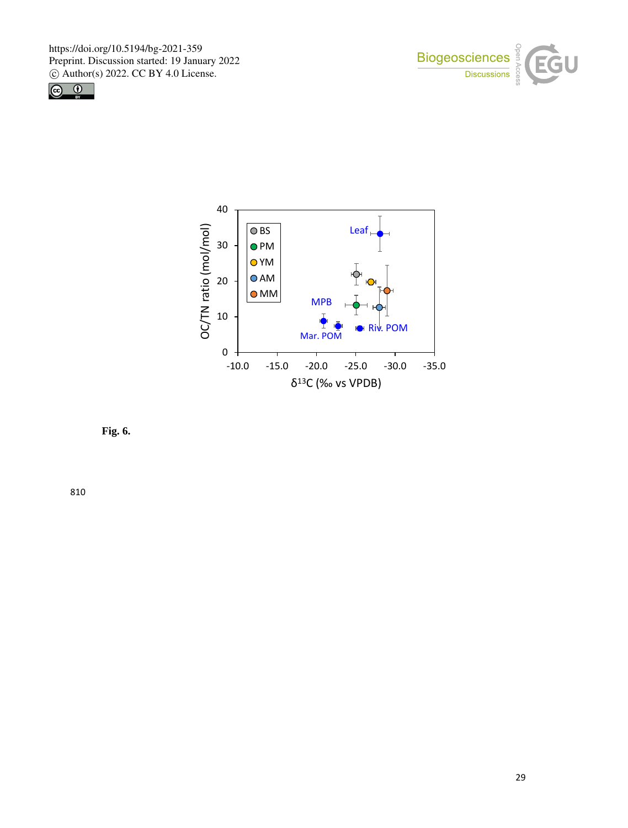





**Fig. 6.**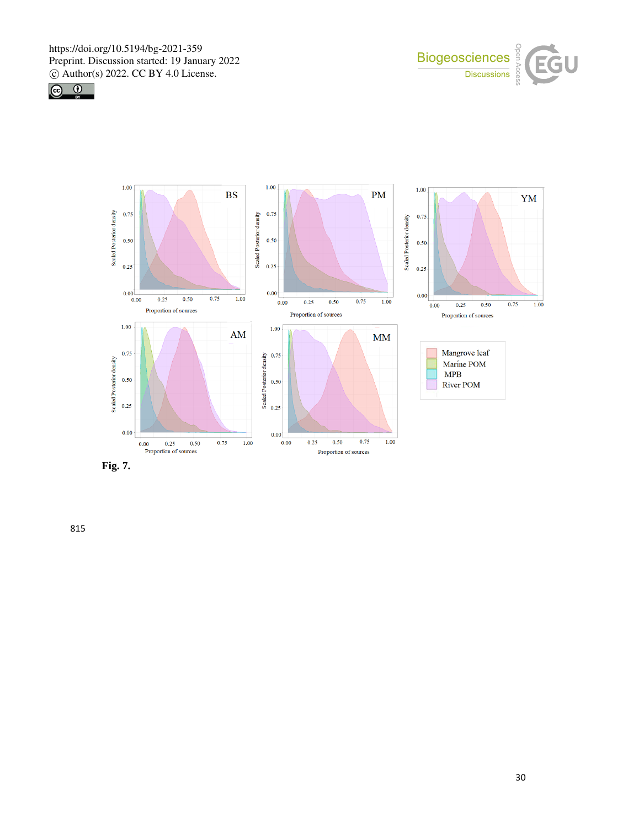





**Fig. 7.**